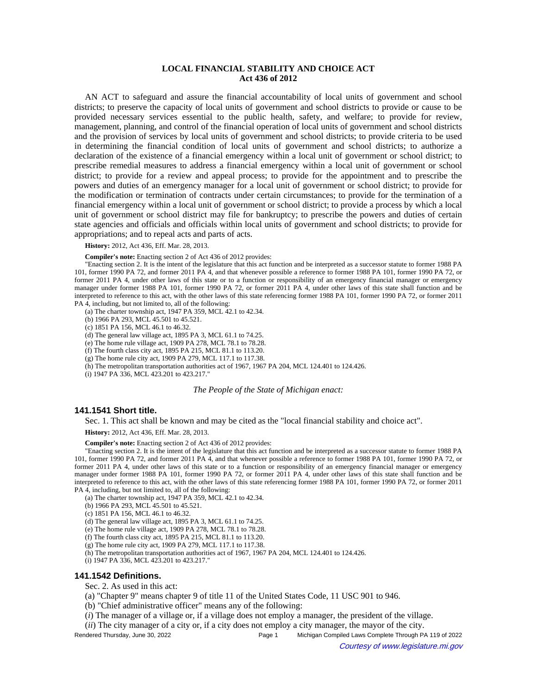# **LOCAL FINANCIAL STABILITY AND CHOICE ACT Act 436 of 2012**

AN ACT to safeguard and assure the financial accountability of local units of government and school districts; to preserve the capacity of local units of government and school districts to provide or cause to be provided necessary services essential to the public health, safety, and welfare; to provide for review, management, planning, and control of the financial operation of local units of government and school districts and the provision of services by local units of government and school districts; to provide criteria to be used in determining the financial condition of local units of government and school districts; to authorize a declaration of the existence of a financial emergency within a local unit of government or school district; to prescribe remedial measures to address a financial emergency within a local unit of government or school district; to provide for a review and appeal process; to provide for the appointment and to prescribe the powers and duties of an emergency manager for a local unit of government or school district; to provide for the modification or termination of contracts under certain circumstances; to provide for the termination of a financial emergency within a local unit of government or school district; to provide a process by which a local unit of government or school district may file for bankruptcy; to prescribe the powers and duties of certain state agencies and officials and officials within local units of government and school districts; to provide for appropriations; and to repeal acts and parts of acts.

**History:** 2012, Act 436, Eff. Mar. 28, 2013.

**Compiler's note:** Enacting section 2 of Act 436 of 2012 provides:

"Enacting section 2. It is the intent of the legislature that this act function and be interpreted as a successor statute to former 1988 PA 101, former 1990 PA 72, and former 2011 PA 4, and that whenever possible a reference to former 1988 PA 101, former 1990 PA 72, or former 2011 PA 4, under other laws of this state or to a function or responsibility of an emergency financial manager or emergency manager under former 1988 PA 101, former 1990 PA 72, or former 2011 PA 4, under other laws of this state shall function and be interpreted to reference to this act, with the other laws of this state referencing former 1988 PA 101, former 1990 PA 72, or former 2011 PA 4, including, but not limited to, all of the following:

(a) The charter township act, 1947 PA 359, MCL  $42.1$  to 42.34.

(b) 1966 PA 293, MCL 45.501 to 45.521.

(c) 1851 PA 156, MCL 46.1 to 46.32.

(d) The general law village act, 1895 PA 3, MCL 61.1 to 74.25.

(e) The home rule village act, 1909 PA 278, MCL 78.1 to 78.28.

(f) The fourth class city act, 1895 PA 215, MCL 81.1 to 113.20.

(g) The home rule city act, 1909 PA 279, MCL 117.1 to 117.38.

(h) The metropolitan transportation authorities act of 1967, 1967 PA 204, MCL 124.401 to 124.426.

(i) 1947 PA 336, MCL 423.201 to 423.217."

### *The People of the State of Michigan enact:*

## **141.1541 Short title.**

Sec. 1. This act shall be known and may be cited as the "local financial stability and choice act".

**History:** 2012, Act 436, Eff. Mar. 28, 2013.

**Compiler's note:** Enacting section 2 of Act 436 of 2012 provides:

"Enacting section 2. It is the intent of the legislature that this act function and be interpreted as a successor statute to former 1988 PA 101, former 1990 PA 72, and former 2011 PA 4, and that whenever possible a reference to former 1988 PA 101, former 1990 PA 72, or former 2011 PA 4, under other laws of this state or to a function or responsibility of an emergency financial manager or emergency manager under former 1988 PA 101, former 1990 PA 72, or former 2011 PA 4, under other laws of this state shall function and be interpreted to reference to this act, with the other laws of this state referencing former 1988 PA 101, former 1990 PA 72, or former 2011 PA 4, including, but not limited to, all of the following:

(a) The charter township act, 1947 PA 359, MCL 42.1 to 42.34.

(b) 1966 PA 293, MCL 45.501 to 45.521.

(c) 1851 PA 156, MCL 46.1 to 46.32.

(d) The general law village act, 1895 PA 3, MCL 61.1 to 74.25.

(e) The home rule village act, 1909 PA 278, MCL 78.1 to 78.28.

(f) The fourth class city act, 1895 PA 215, MCL 81.1 to 113.20.

(g) The home rule city act, 1909 PA 279, MCL 117.1 to 117.38.

(h) The metropolitan transportation authorities act of 1967, 1967 PA 204, MCL 124.401 to 124.426.

(i) 1947 PA 336, MCL 423.201 to 423.217."

## **141.1542 Definitions.**

Sec. 2. As used in this act:

(a) "Chapter 9" means chapter 9 of title 11 of the United States Code, 11 USC 901 to 946.

(b) "Chief administrative officer" means any of the following:

(*i*) The manager of a village or, if a village does not employ a manager, the president of the village.

(*ii*) The city manager of a city or, if a city does not employ a city manager, the mayor of the city.

Rendered Thursday, June 30, 2022 Page 1 Michigan Compiled Laws Complete Through PA 119 of 2022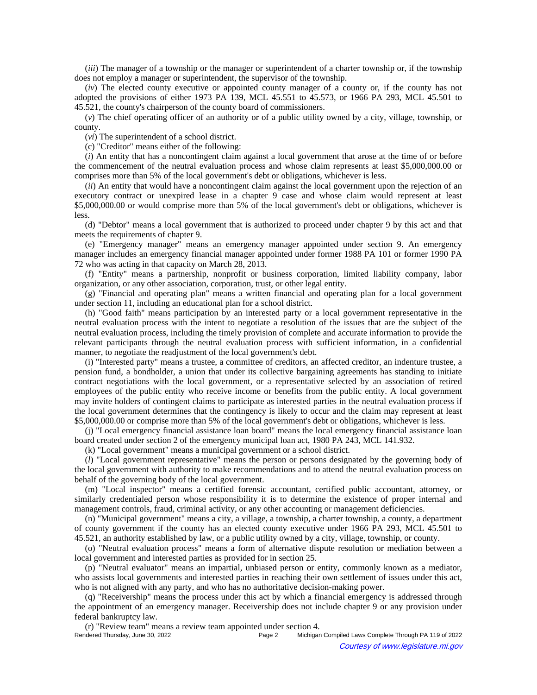(*iii*) The manager of a township or the manager or superintendent of a charter township or, if the township does not employ a manager or superintendent, the supervisor of the township.

(*iv*) The elected county executive or appointed county manager of a county or, if the county has not adopted the provisions of either 1973 PA 139, MCL 45.551 to 45.573, or 1966 PA 293, MCL 45.501 to 45.521, the county's chairperson of the county board of commissioners.

(*v*) The chief operating officer of an authority or of a public utility owned by a city, village, township, or county.

(*vi*) The superintendent of a school district.

(c) "Creditor" means either of the following:

(*i*) An entity that has a noncontingent claim against a local government that arose at the time of or before the commencement of the neutral evaluation process and whose claim represents at least \$5,000,000.00 or comprises more than 5% of the local government's debt or obligations, whichever is less.

(*ii*) An entity that would have a noncontingent claim against the local government upon the rejection of an executory contract or unexpired lease in a chapter 9 case and whose claim would represent at least \$5,000,000.00 or would comprise more than 5% of the local government's debt or obligations, whichever is less.

(d) "Debtor" means a local government that is authorized to proceed under chapter 9 by this act and that meets the requirements of chapter 9.

(e) "Emergency manager" means an emergency manager appointed under section 9. An emergency manager includes an emergency financial manager appointed under former 1988 PA 101 or former 1990 PA 72 who was acting in that capacity on March 28, 2013.

(f) "Entity" means a partnership, nonprofit or business corporation, limited liability company, labor organization, or any other association, corporation, trust, or other legal entity.

(g) "Financial and operating plan" means a written financial and operating plan for a local government under section 11, including an educational plan for a school district.

(h) "Good faith" means participation by an interested party or a local government representative in the neutral evaluation process with the intent to negotiate a resolution of the issues that are the subject of the neutral evaluation process, including the timely provision of complete and accurate information to provide the relevant participants through the neutral evaluation process with sufficient information, in a confidential manner, to negotiate the readjustment of the local government's debt.

(i) "Interested party" means a trustee, a committee of creditors, an affected creditor, an indenture trustee, a pension fund, a bondholder, a union that under its collective bargaining agreements has standing to initiate contract negotiations with the local government, or a representative selected by an association of retired employees of the public entity who receive income or benefits from the public entity. A local government may invite holders of contingent claims to participate as interested parties in the neutral evaluation process if the local government determines that the contingency is likely to occur and the claim may represent at least \$5,000,000.00 or comprise more than 5% of the local government's debt or obligations, whichever is less.

(j) "Local emergency financial assistance loan board" means the local emergency financial assistance loan board created under section 2 of the emergency municipal loan act, 1980 PA 243, MCL 141.932.

(k) "Local government" means a municipal government or a school district.

(*l*) "Local government representative" means the person or persons designated by the governing body of the local government with authority to make recommendations and to attend the neutral evaluation process on behalf of the governing body of the local government.

(m) "Local inspector" means a certified forensic accountant, certified public accountant, attorney, or similarly credentialed person whose responsibility it is to determine the existence of proper internal and management controls, fraud, criminal activity, or any other accounting or management deficiencies.

(n) "Municipal government" means a city, a village, a township, a charter township, a county, a department of county government if the county has an elected county executive under 1966 PA 293, MCL 45.501 to 45.521, an authority established by law, or a public utility owned by a city, village, township, or county.

(o) "Neutral evaluation process" means a form of alternative dispute resolution or mediation between a local government and interested parties as provided for in section 25.

(p) "Neutral evaluator" means an impartial, unbiased person or entity, commonly known as a mediator, who assists local governments and interested parties in reaching their own settlement of issues under this act, who is not aligned with any party, and who has no authoritative decision-making power.

(q) "Receivership" means the process under this act by which a financial emergency is addressed through the appointment of an emergency manager. Receivership does not include chapter 9 or any provision under federal bankruptcy law.

(r) "Review team" means a review team appointed under section 4.

Michigan Compiled Laws Complete Through PA 119 of 2022 Courtesy of www.legislature.mi.gov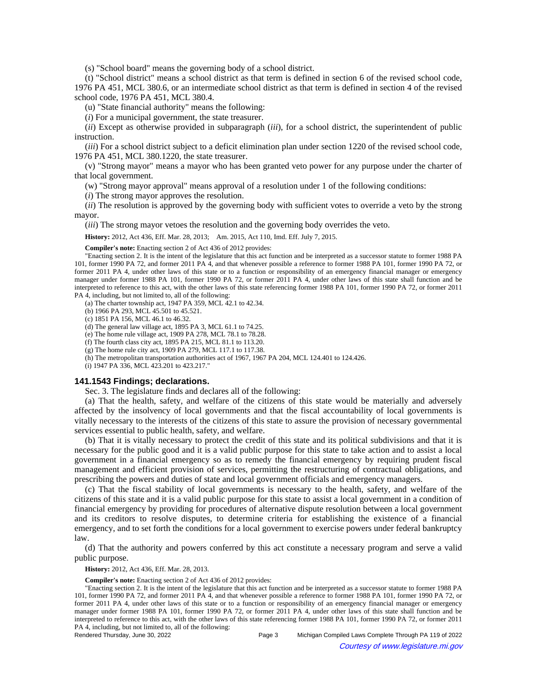(s) "School board" means the governing body of a school district.

(t) "School district" means a school district as that term is defined in section 6 of the revised school code, 1976 PA 451, MCL 380.6, or an intermediate school district as that term is defined in section 4 of the revised school code, 1976 PA 451, MCL 380.4.

(u) "State financial authority" means the following:

(*i*) For a municipal government, the state treasurer.

(*ii*) Except as otherwise provided in subparagraph (*iii*), for a school district, the superintendent of public instruction.

(*iii*) For a school district subject to a deficit elimination plan under section 1220 of the revised school code, 1976 PA 451, MCL 380.1220, the state treasurer.

(v) "Strong mayor" means a mayor who has been granted veto power for any purpose under the charter of that local government.

(w) "Strong mayor approval" means approval of a resolution under 1 of the following conditions:

(*i*) The strong mayor approves the resolution.

(*ii*) The resolution is approved by the governing body with sufficient votes to override a veto by the strong mayor.

(*iii*) The strong mayor vetoes the resolution and the governing body overrides the veto.

History: 2012, Act 436, Eff. Mar. 28, 2013;-- Am. 2015, Act 110, Imd. Eff. July 7, 2015.

**Compiler's note:** Enacting section 2 of Act 436 of 2012 provides:

"Enacting section 2. It is the intent of the legislature that this act function and be interpreted as a successor statute to former 1988 PA 101, former 1990 PA 72, and former 2011 PA 4, and that whenever possible a reference to former 1988 PA 101, former 1990 PA 72, or former 2011 PA 4, under other laws of this state or to a function or responsibility of an emergency financial manager or emergency manager under former 1988 PA 101, former 1990 PA 72, or former 2011 PA 4, under other laws of this state shall function and be interpreted to reference to this act, with the other laws of this state referencing former 1988 PA 101, former 1990 PA 72, or former 2011 PA 4, including, but not limited to, all of the following:

(a) The charter township act, 1947 PA 359, MCL 42.1 to 42.34.

(b) 1966 PA 293, MCL 45.501 to 45.521.

(c) 1851 PA 156, MCL 46.1 to 46.32.

(d) The general law village act, 1895 PA 3, MCL 61.1 to 74.25.

(e) The home rule village act, 1909 PA 278, MCL 78.1 to 78.28.

(f) The fourth class city act, 1895 PA 215, MCL 81.1 to 113.20.

(g) The home rule city act, 1909 PA 279, MCL 117.1 to 117.38. (h) The metropolitan transportation authorities act of 1967, 1967 PA 204, MCL 124.401 to 124.426.

(i) 1947 PA 336, MCL 423.201 to 423.217."

### **141.1543 Findings; declarations.**

Sec. 3. The legislature finds and declares all of the following:

(a) That the health, safety, and welfare of the citizens of this state would be materially and adversely affected by the insolvency of local governments and that the fiscal accountability of local governments is vitally necessary to the interests of the citizens of this state to assure the provision of necessary governmental services essential to public health, safety, and welfare.

(b) That it is vitally necessary to protect the credit of this state and its political subdivisions and that it is necessary for the public good and it is a valid public purpose for this state to take action and to assist a local government in a financial emergency so as to remedy the financial emergency by requiring prudent fiscal management and efficient provision of services, permitting the restructuring of contractual obligations, and prescribing the powers and duties of state and local government officials and emergency managers.

(c) That the fiscal stability of local governments is necessary to the health, safety, and welfare of the citizens of this state and it is a valid public purpose for this state to assist a local government in a condition of financial emergency by providing for procedures of alternative dispute resolution between a local government and its creditors to resolve disputes, to determine criteria for establishing the existence of a financial emergency, and to set forth the conditions for a local government to exercise powers under federal bankruptcy law.

(d) That the authority and powers conferred by this act constitute a necessary program and serve a valid public purpose.

**History:** 2012, Act 436, Eff. Mar. 28, 2013.

**Compiler's note:** Enacting section 2 of Act 436 of 2012 provides:

"Enacting section 2. It is the intent of the legislature that this act function and be interpreted as a successor statute to former 1988 PA 101, former 1990 PA 72, and former 2011 PA 4, and that whenever possible a reference to former 1988 PA 101, former 1990 PA 72, or former 2011 PA 4, under other laws of this state or to a function or responsibility of an emergency financial manager or emergency manager under former 1988 PA 101, former 1990 PA 72, or former 2011 PA 4, under other laws of this state shall function and be interpreted to reference to this act, with the other laws of this state referencing former 1988 PA 101, former 1990 PA 72, or former 2011 PA 4, including, but not limited to, all of the following:

Rendered Thursday, June 30, 2022 **Page 3** Michigan Compiled Laws Complete Through PA 119 of 2022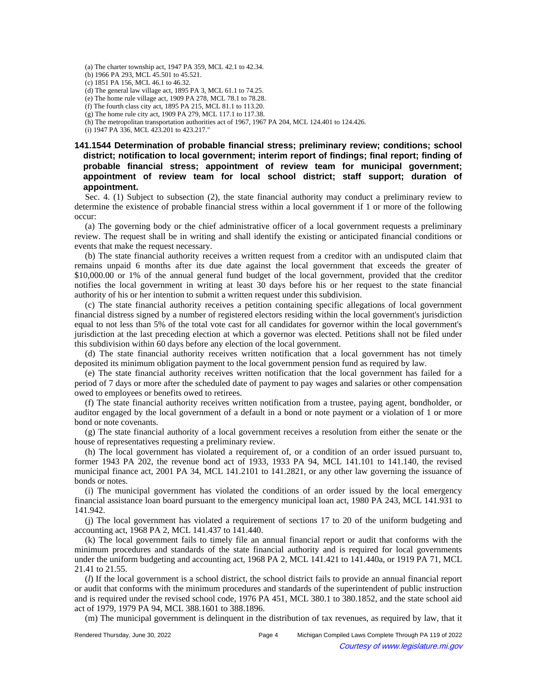(a) The charter township act, 1947 PA 359, MCL 42.1 to 42.34.

(b) 1966 PA 293, MCL 45.501 to 45.521.

(c) 1851 PA 156, MCL 46.1 to 46.32.

(d) The general law village act, 1895 PA 3, MCL 61.1 to 74.25.

(e) The home rule village act, 1909 PA 278, MCL 78.1 to 78.28.

(f) The fourth class city act, 1895 PA 215, MCL 81.1 to 113.20.

(g) The home rule city act, 1909 PA 279, MCL 117.1 to 117.38.

(h) The metropolitan transportation authorities act of 1967, 1967 PA 204, MCL 124.401 to 124.426.

(i) 1947 PA 336, MCL 423.201 to 423.217."

**141.1544 Determination of probable financial stress; preliminary review; conditions; school district; notification to local government; interim report of findings; final report; finding of probable financial stress; appointment of review team for municipal government; appointment of review team for local school district; staff support; duration of appointment.**

Sec. 4. (1) Subject to subsection (2), the state financial authority may conduct a preliminary review to determine the existence of probable financial stress within a local government if 1 or more of the following occur:

(a) The governing body or the chief administrative officer of a local government requests a preliminary review. The request shall be in writing and shall identify the existing or anticipated financial conditions or events that make the request necessary.

(b) The state financial authority receives a written request from a creditor with an undisputed claim that remains unpaid 6 months after its due date against the local government that exceeds the greater of \$10,000.00 or 1% of the annual general fund budget of the local government, provided that the creditor notifies the local government in writing at least 30 days before his or her request to the state financial authority of his or her intention to submit a written request under this subdivision.

(c) The state financial authority receives a petition containing specific allegations of local government financial distress signed by a number of registered electors residing within the local government's jurisdiction equal to not less than 5% of the total vote cast for all candidates for governor within the local government's jurisdiction at the last preceding election at which a governor was elected. Petitions shall not be filed under this subdivision within 60 days before any election of the local government.

(d) The state financial authority receives written notification that a local government has not timely deposited its minimum obligation payment to the local government pension fund as required by law.

(e) The state financial authority receives written notification that the local government has failed for a period of 7 days or more after the scheduled date of payment to pay wages and salaries or other compensation owed to employees or benefits owed to retirees.

(f) The state financial authority receives written notification from a trustee, paying agent, bondholder, or auditor engaged by the local government of a default in a bond or note payment or a violation of 1 or more bond or note covenants.

(g) The state financial authority of a local government receives a resolution from either the senate or the house of representatives requesting a preliminary review.

(h) The local government has violated a requirement of, or a condition of an order issued pursuant to, former 1943 PA 202, the revenue bond act of 1933, 1933 PA 94, MCL 141.101 to 141.140, the revised municipal finance act, 2001 PA 34, MCL 141.2101 to 141.2821, or any other law governing the issuance of bonds or notes.

(i) The municipal government has violated the conditions of an order issued by the local emergency financial assistance loan board pursuant to the emergency municipal loan act, 1980 PA 243, MCL 141.931 to 141.942.

(j) The local government has violated a requirement of sections 17 to 20 of the uniform budgeting and accounting act, 1968 PA 2, MCL 141.437 to 141.440.

(k) The local government fails to timely file an annual financial report or audit that conforms with the minimum procedures and standards of the state financial authority and is required for local governments under the uniform budgeting and accounting act, 1968 PA 2, MCL 141.421 to 141.440a, or 1919 PA 71, MCL 21.41 to 21.55.

(*l*) If the local government is a school district, the school district fails to provide an annual financial report or audit that conforms with the minimum procedures and standards of the superintendent of public instruction and is required under the revised school code, 1976 PA 451, MCL 380.1 to 380.1852, and the state school aid act of 1979, 1979 PA 94, MCL 388.1601 to 388.1896.

(m) The municipal government is delinquent in the distribution of tax revenues, as required by law, that it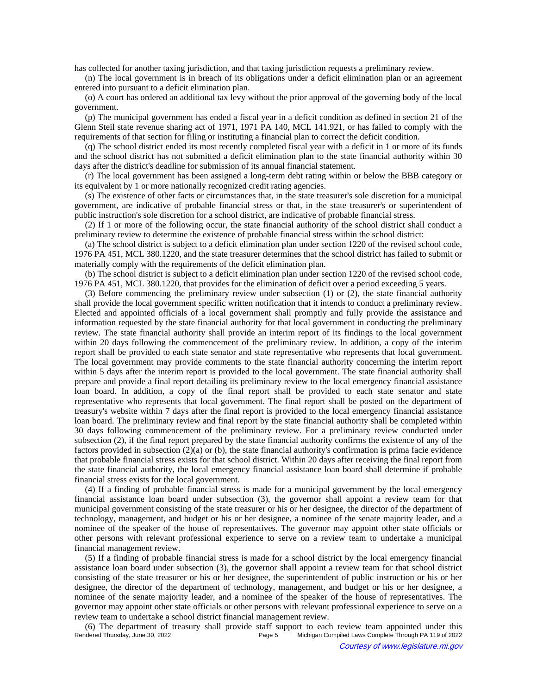has collected for another taxing jurisdiction, and that taxing jurisdiction requests a preliminary review.

(n) The local government is in breach of its obligations under a deficit elimination plan or an agreement entered into pursuant to a deficit elimination plan.

(o) A court has ordered an additional tax levy without the prior approval of the governing body of the local government.

(p) The municipal government has ended a fiscal year in a deficit condition as defined in section 21 of the Glenn Steil state revenue sharing act of 1971, 1971 PA 140, MCL 141.921, or has failed to comply with the requirements of that section for filing or instituting a financial plan to correct the deficit condition.

(q) The school district ended its most recently completed fiscal year with a deficit in 1 or more of its funds and the school district has not submitted a deficit elimination plan to the state financial authority within 30 days after the district's deadline for submission of its annual financial statement.

(r) The local government has been assigned a long-term debt rating within or below the BBB category or its equivalent by 1 or more nationally recognized credit rating agencies.

(s) The existence of other facts or circumstances that, in the state treasurer's sole discretion for a municipal government, are indicative of probable financial stress or that, in the state treasurer's or superintendent of public instruction's sole discretion for a school district, are indicative of probable financial stress.

(2) If 1 or more of the following occur, the state financial authority of the school district shall conduct a preliminary review to determine the existence of probable financial stress within the school district:

(a) The school district is subject to a deficit elimination plan under section 1220 of the revised school code, 1976 PA 451, MCL 380.1220, and the state treasurer determines that the school district has failed to submit or materially comply with the requirements of the deficit elimination plan.

(b) The school district is subject to a deficit elimination plan under section 1220 of the revised school code, 1976 PA 451, MCL 380.1220, that provides for the elimination of deficit over a period exceeding 5 years.

(3) Before commencing the preliminary review under subsection (1) or (2), the state financial authority shall provide the local government specific written notification that it intends to conduct a preliminary review. Elected and appointed officials of a local government shall promptly and fully provide the assistance and information requested by the state financial authority for that local government in conducting the preliminary review. The state financial authority shall provide an interim report of its findings to the local government within 20 days following the commencement of the preliminary review. In addition, a copy of the interim report shall be provided to each state senator and state representative who represents that local government. The local government may provide comments to the state financial authority concerning the interim report within 5 days after the interim report is provided to the local government. The state financial authority shall prepare and provide a final report detailing its preliminary review to the local emergency financial assistance loan board. In addition, a copy of the final report shall be provided to each state senator and state representative who represents that local government. The final report shall be posted on the department of treasury's website within 7 days after the final report is provided to the local emergency financial assistance loan board. The preliminary review and final report by the state financial authority shall be completed within 30 days following commencement of the preliminary review. For a preliminary review conducted under subsection (2), if the final report prepared by the state financial authority confirms the existence of any of the factors provided in subsection (2)(a) or (b), the state financial authority's confirmation is prima facie evidence that probable financial stress exists for that school district. Within 20 days after receiving the final report from the state financial authority, the local emergency financial assistance loan board shall determine if probable financial stress exists for the local government.

(4) If a finding of probable financial stress is made for a municipal government by the local emergency financial assistance loan board under subsection (3), the governor shall appoint a review team for that municipal government consisting of the state treasurer or his or her designee, the director of the department of technology, management, and budget or his or her designee, a nominee of the senate majority leader, and a nominee of the speaker of the house of representatives. The governor may appoint other state officials or other persons with relevant professional experience to serve on a review team to undertake a municipal financial management review.

(5) If a finding of probable financial stress is made for a school district by the local emergency financial assistance loan board under subsection (3), the governor shall appoint a review team for that school district consisting of the state treasurer or his or her designee, the superintendent of public instruction or his or her designee, the director of the department of technology, management, and budget or his or her designee, a nominee of the senate majority leader, and a nominee of the speaker of the house of representatives. The governor may appoint other state officials or other persons with relevant professional experience to serve on a review team to undertake a school district financial management review.

(6) The department of treasury shall provide staff support to each review team appointed under this Rendered Thursday, June 30, 2022<br>Page 5 Michigan Compiled Laws Complete Through PA 119 of 2022 Michigan Compiled Laws Complete Through PA 119 of 2022 Courtesy of www.legislature.mi.gov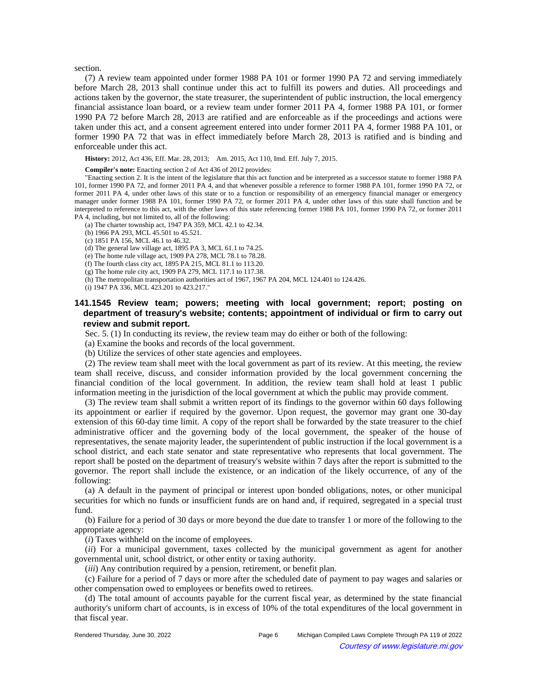section.

(7) A review team appointed under former 1988 PA 101 or former 1990 PA 72 and serving immediately before March 28, 2013 shall continue under this act to fulfill its powers and duties. All proceedings and actions taken by the governor, the state treasurer, the superintendent of public instruction, the local emergency financial assistance loan board, or a review team under former 2011 PA 4, former 1988 PA 101, or former 1990 PA 72 before March 28, 2013 are ratified and are enforceable as if the proceedings and actions were taken under this act, and a consent agreement entered into under former 2011 PA 4, former 1988 PA 101, or former 1990 PA 72 that was in effect immediately before March 28, 2013 is ratified and is binding and enforceable under this act.

History: 2012, Act 436, Eff. Mar. 28, 2013;-- Am. 2015, Act 110, Imd. Eff. July 7, 2015.

**Compiler's note:** Enacting section 2 of Act 436 of 2012 provides:

"Enacting section 2. It is the intent of the legislature that this act function and be interpreted as a successor statute to former 1988 PA 101, former 1990 PA 72, and former 2011 PA 4, and that whenever possible a reference to former 1988 PA 101, former 1990 PA 72, or former 2011 PA 4, under other laws of this state or to a function or responsibility of an emergency financial manager or emergency manager under former 1988 PA 101, former 1990 PA 72, or former 2011 PA 4, under other laws of this state shall function and be interpreted to reference to this act, with the other laws of this state referencing former 1988 PA 101, former 1990 PA 72, or former 2011 PA 4, including, but not limited to, all of the following:

(a) The charter township act, 1947 PA 359, MCL 42.1 to 42.34.

(b) 1966 PA 293, MCL 45.501 to 45.521.

(c) 1851 PA 156, MCL 46.1 to 46.32.

(d) The general law village act, 1895 PA 3, MCL 61.1 to 74.25.

(e) The home rule village act, 1909 PA 278, MCL 78.1 to 78.28.

(f) The fourth class city act, 1895 PA 215, MCL 81.1 to 113.20.

(g) The home rule city act, 1909 PA 279, MCL 117.1 to 117.38.

(h) The metropolitan transportation authorities act of 1967, 1967 PA 204, MCL 124.401 to 124.426.

(i) 1947 PA 336, MCL 423.201 to 423.217."

# **141.1545 Review team; powers; meeting with local government; report; posting on department of treasury's website; contents; appointment of individual or firm to carry out review and submit report.**

Sec. 5. (1) In conducting its review, the review team may do either or both of the following:

(a) Examine the books and records of the local government.

(b) Utilize the services of other state agencies and employees.

(2) The review team shall meet with the local government as part of its review. At this meeting, the review team shall receive, discuss, and consider information provided by the local government concerning the financial condition of the local government. In addition, the review team shall hold at least 1 public information meeting in the jurisdiction of the local government at which the public may provide comment.

(3) The review team shall submit a written report of its findings to the governor within 60 days following its appointment or earlier if required by the governor. Upon request, the governor may grant one 30-day extension of this 60-day time limit. A copy of the report shall be forwarded by the state treasurer to the chief administrative officer and the governing body of the local government, the speaker of the house of representatives, the senate majority leader, the superintendent of public instruction if the local government is a school district, and each state senator and state representative who represents that local government. The report shall be posted on the department of treasury's website within 7 days after the report is submitted to the governor. The report shall include the existence, or an indication of the likely occurrence, of any of the following:

(a) A default in the payment of principal or interest upon bonded obligations, notes, or other municipal securities for which no funds or insufficient funds are on hand and, if required, segregated in a special trust fund.

(b) Failure for a period of 30 days or more beyond the due date to transfer 1 or more of the following to the appropriate agency:

(*i*) Taxes withheld on the income of employees.

(*ii*) For a municipal government, taxes collected by the municipal government as agent for another governmental unit, school district, or other entity or taxing authority.

(*iii*) Any contribution required by a pension, retirement, or benefit plan.

(c) Failure for a period of 7 days or more after the scheduled date of payment to pay wages and salaries or other compensation owed to employees or benefits owed to retirees.

(d) The total amount of accounts payable for the current fiscal year, as determined by the state financial authority's uniform chart of accounts, is in excess of 10% of the total expenditures of the local government in that fiscal year.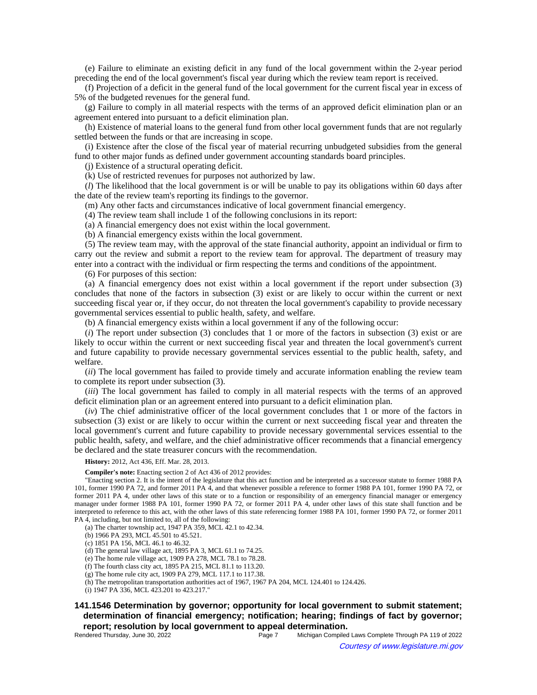(e) Failure to eliminate an existing deficit in any fund of the local government within the 2-year period preceding the end of the local government's fiscal year during which the review team report is received.

(f) Projection of a deficit in the general fund of the local government for the current fiscal year in excess of 5% of the budgeted revenues for the general fund.

(g) Failure to comply in all material respects with the terms of an approved deficit elimination plan or an agreement entered into pursuant to a deficit elimination plan.

(h) Existence of material loans to the general fund from other local government funds that are not regularly settled between the funds or that are increasing in scope.

(i) Existence after the close of the fiscal year of material recurring unbudgeted subsidies from the general fund to other major funds as defined under government accounting standards board principles.

(j) Existence of a structural operating deficit.

(k) Use of restricted revenues for purposes not authorized by law.

(*l*) The likelihood that the local government is or will be unable to pay its obligations within 60 days after the date of the review team's reporting its findings to the governor.

(m) Any other facts and circumstances indicative of local government financial emergency.

(4) The review team shall include 1 of the following conclusions in its report:

(a) A financial emergency does not exist within the local government.

(b) A financial emergency exists within the local government.

(5) The review team may, with the approval of the state financial authority, appoint an individual or firm to carry out the review and submit a report to the review team for approval. The department of treasury may enter into a contract with the individual or firm respecting the terms and conditions of the appointment.

(6) For purposes of this section:

(a) A financial emergency does not exist within a local government if the report under subsection (3) concludes that none of the factors in subsection (3) exist or are likely to occur within the current or next succeeding fiscal year or, if they occur, do not threaten the local government's capability to provide necessary governmental services essential to public health, safety, and welfare.

(b) A financial emergency exists within a local government if any of the following occur:

(*i*) The report under subsection (3) concludes that 1 or more of the factors in subsection (3) exist or are likely to occur within the current or next succeeding fiscal year and threaten the local government's current and future capability to provide necessary governmental services essential to the public health, safety, and welfare.

(*ii*) The local government has failed to provide timely and accurate information enabling the review team to complete its report under subsection (3).

(*iii*) The local government has failed to comply in all material respects with the terms of an approved deficit elimination plan or an agreement entered into pursuant to a deficit elimination plan.

(*iv*) The chief administrative officer of the local government concludes that 1 or more of the factors in subsection (3) exist or are likely to occur within the current or next succeeding fiscal year and threaten the local government's current and future capability to provide necessary governmental services essential to the public health, safety, and welfare, and the chief administrative officer recommends that a financial emergency be declared and the state treasurer concurs with the recommendation.

#### **History:** 2012, Act 436, Eff. Mar. 28, 2013.

**Compiler's note:** Enacting section 2 of Act 436 of 2012 provides:

"Enacting section 2. It is the intent of the legislature that this act function and be interpreted as a successor statute to former 1988 PA 101, former 1990 PA 72, and former 2011 PA 4, and that whenever possible a reference to former 1988 PA 101, former 1990 PA 72, or former 2011 PA 4, under other laws of this state or to a function or responsibility of an emergency financial manager or emergency manager under former 1988 PA 101, former 1990 PA 72, or former 2011 PA 4, under other laws of this state shall function and be interpreted to reference to this act, with the other laws of this state referencing former 1988 PA 101, former 1990 PA 72, or former 2011 PA 4, including, but not limited to, all of the following:

(a) The charter township act, 1947 PA 359, MCL 42.1 to 42.34.

(b) 1966 PA 293, MCL 45.501 to 45.521.

(c) 1851 PA 156, MCL 46.1 to 46.32.

(d) The general law village act, 1895 PA 3, MCL 61.1 to 74.25.

(e) The home rule village act, 1909 PA 278, MCL 78.1 to 78.28.

(f) The fourth class city act, 1895 PA 215, MCL 81.1 to 113.20.

(g) The home rule city act, 1909 PA 279, MCL 117.1 to 117.38.

(h) The metropolitan transportation authorities act of 1967, 1967 PA 204, MCL 124.401 to 124.426.

(i) 1947 PA 336, MCL 423.201 to 423.217."

**141.1546 Determination by governor; opportunity for local government to submit statement; determination of financial emergency; notification; hearing; findings of fact by governor; report; resolution by local government to appeal determination.**

Rendered Thursday, June 30, 2022 Page 7 Michigan Compiled Laws Complete Through PA 119 of 2022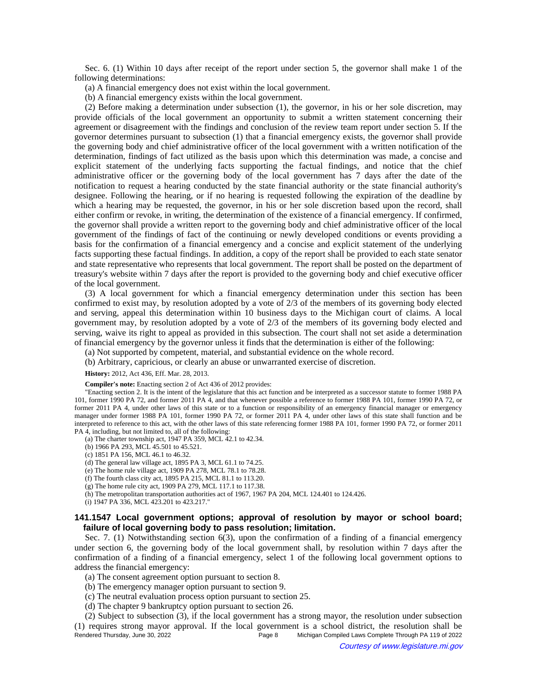Sec. 6. (1) Within 10 days after receipt of the report under section 5, the governor shall make 1 of the following determinations:

(a) A financial emergency does not exist within the local government.

(b) A financial emergency exists within the local government.

(2) Before making a determination under subsection (1), the governor, in his or her sole discretion, may provide officials of the local government an opportunity to submit a written statement concerning their agreement or disagreement with the findings and conclusion of the review team report under section 5. If the governor determines pursuant to subsection (1) that a financial emergency exists, the governor shall provide the governing body and chief administrative officer of the local government with a written notification of the determination, findings of fact utilized as the basis upon which this determination was made, a concise and explicit statement of the underlying facts supporting the factual findings, and notice that the chief administrative officer or the governing body of the local government has 7 days after the date of the notification to request a hearing conducted by the state financial authority or the state financial authority's designee. Following the hearing, or if no hearing is requested following the expiration of the deadline by which a hearing may be requested, the governor, in his or her sole discretion based upon the record, shall either confirm or revoke, in writing, the determination of the existence of a financial emergency. If confirmed, the governor shall provide a written report to the governing body and chief administrative officer of the local government of the findings of fact of the continuing or newly developed conditions or events providing a basis for the confirmation of a financial emergency and a concise and explicit statement of the underlying facts supporting these factual findings. In addition, a copy of the report shall be provided to each state senator and state representative who represents that local government. The report shall be posted on the department of treasury's website within 7 days after the report is provided to the governing body and chief executive officer of the local government.

(3) A local government for which a financial emergency determination under this section has been confirmed to exist may, by resolution adopted by a vote of 2/3 of the members of its governing body elected and serving, appeal this determination within 10 business days to the Michigan court of claims. A local government may, by resolution adopted by a vote of 2/3 of the members of its governing body elected and serving, waive its right to appeal as provided in this subsection. The court shall not set aside a determination of financial emergency by the governor unless it finds that the determination is either of the following:

(a) Not supported by competent, material, and substantial evidence on the whole record.

(b) Arbitrary, capricious, or clearly an abuse or unwarranted exercise of discretion.

#### **History:** 2012, Act 436, Eff. Mar. 28, 2013.

#### **Compiler's note:** Enacting section 2 of Act 436 of 2012 provides:

"Enacting section 2. It is the intent of the legislature that this act function and be interpreted as a successor statute to former 1988 PA 101, former 1990 PA 72, and former 2011 PA 4, and that whenever possible a reference to former 1988 PA 101, former 1990 PA 72, or former 2011 PA 4, under other laws of this state or to a function or responsibility of an emergency financial manager or emergency manager under former 1988 PA 101, former 1990 PA 72, or former 2011 PA 4, under other laws of this state shall function and be interpreted to reference to this act, with the other laws of this state referencing former 1988 PA 101, former 1990 PA 72, or former 2011 PA 4, including, but not limited to, all of the following:

(a) The charter township act, 1947 PA 359, MCL 42.1 to 42.34.

(b) 1966 PA 293, MCL 45.501 to 45.521.

(c) 1851 PA 156, MCL 46.1 to 46.32.

(d) The general law village act, 1895 PA 3, MCL 61.1 to 74.25.

(e) The home rule village act, 1909 PA 278, MCL 78.1 to 78.28.

(f) The fourth class city act, 1895 PA 215, MCL 81.1 to 113.20.

(g) The home rule city act, 1909 PA 279, MCL 117.1 to 117.38.

(h) The metropolitan transportation authorities act of 1967, 1967 PA 204, MCL 124.401 to 124.426.

(i) 1947 PA 336, MCL 423.201 to 423.217."

## **141.1547 Local government options; approval of resolution by mayor or school board; failure of local governing body to pass resolution; limitation.**

Sec. 7. (1) Notwithstanding section 6(3), upon the confirmation of a finding of a financial emergency under section 6, the governing body of the local government shall, by resolution within 7 days after the confirmation of a finding of a financial emergency, select 1 of the following local government options to address the financial emergency:

(a) The consent agreement option pursuant to section 8.

(b) The emergency manager option pursuant to section 9.

(c) The neutral evaluation process option pursuant to section 25.

(d) The chapter 9 bankruptcy option pursuant to section 26.

(2) Subject to subsection (3), if the local government has a strong mayor, the resolution under subsection (1) requires strong mayor approval. If the local government is a school district, the resolution shall be<br>Page 8 Michigan Compiled Laws Complete Through PA 119 of 2022 Rendered Thursday, June 30, 2022 Page 8 Michigan Compiled Laws Complete Through PA 119 of 2022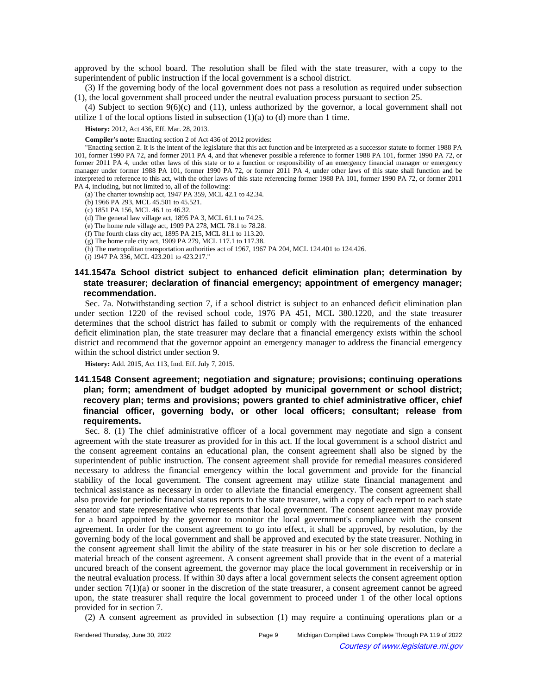approved by the school board. The resolution shall be filed with the state treasurer, with a copy to the superintendent of public instruction if the local government is a school district.

(3) If the governing body of the local government does not pass a resolution as required under subsection (1), the local government shall proceed under the neutral evaluation process pursuant to section 25.

(4) Subject to section 9(6)(c) and (11), unless authorized by the governor, a local government shall not utilize 1 of the local options listed in subsection  $(1)(a)$  to  $(d)$  more than 1 time.

**History:** 2012, Act 436, Eff. Mar. 28, 2013.

**Compiler's note:** Enacting section 2 of Act 436 of 2012 provides:

"Enacting section 2. It is the intent of the legislature that this act function and be interpreted as a successor statute to former 1988 PA 101, former 1990 PA 72, and former 2011 PA 4, and that whenever possible a reference to former 1988 PA 101, former 1990 PA 72, or former 2011 PA 4, under other laws of this state or to a function or responsibility of an emergency financial manager or emergency manager under former 1988 PA 101, former 1990 PA 72, or former 2011 PA 4, under other laws of this state shall function and be interpreted to reference to this act, with the other laws of this state referencing former 1988 PA 101, former 1990 PA 72, or former 2011 PA 4, including, but not limited to, all of the following:

(a) The charter township act, 1947 PA 359, MCL 42.1 to 42.34.

(b) 1966 PA 293, MCL 45.501 to 45.521.

(c) 1851 PA 156, MCL 46.1 to 46.32.

(d) The general law village act, 1895 PA 3, MCL 61.1 to 74.25.

(e) The home rule village act, 1909 PA 278, MCL 78.1 to 78.28.

(f) The fourth class city act, 1895 PA 215, MCL 81.1 to 113.20. (g) The home rule city act, 1909 PA 279, MCL 117.1 to 117.38.

(h) The metropolitan transportation authorities act of 1967, 1967 PA 204, MCL 124.401 to 124.426.

(i) 1947 PA 336, MCL 423.201 to 423.217."

## **141.1547a School district subject to enhanced deficit elimination plan; determination by state treasurer; declaration of financial emergency; appointment of emergency manager; recommendation.**

Sec. 7a. Notwithstanding section 7, if a school district is subject to an enhanced deficit elimination plan under section 1220 of the revised school code, 1976 PA 451, MCL 380.1220, and the state treasurer determines that the school district has failed to submit or comply with the requirements of the enhanced deficit elimination plan, the state treasurer may declare that a financial emergency exists within the school district and recommend that the governor appoint an emergency manager to address the financial emergency within the school district under section 9.

**History:** Add. 2015, Act 113, Imd. Eff. July 7, 2015.

# **141.1548 Consent agreement; negotiation and signature; provisions; continuing operations plan; form; amendment of budget adopted by municipal government or school district; recovery plan; terms and provisions; powers granted to chief administrative officer, chief financial officer, governing body, or other local officers; consultant; release from requirements.**

Sec. 8. (1) The chief administrative officer of a local government may negotiate and sign a consent agreement with the state treasurer as provided for in this act. If the local government is a school district and the consent agreement contains an educational plan, the consent agreement shall also be signed by the superintendent of public instruction. The consent agreement shall provide for remedial measures considered necessary to address the financial emergency within the local government and provide for the financial stability of the local government. The consent agreement may utilize state financial management and technical assistance as necessary in order to alleviate the financial emergency. The consent agreement shall also provide for periodic financial status reports to the state treasurer, with a copy of each report to each state senator and state representative who represents that local government. The consent agreement may provide for a board appointed by the governor to monitor the local government's compliance with the consent agreement. In order for the consent agreement to go into effect, it shall be approved, by resolution, by the governing body of the local government and shall be approved and executed by the state treasurer. Nothing in the consent agreement shall limit the ability of the state treasurer in his or her sole discretion to declare a material breach of the consent agreement. A consent agreement shall provide that in the event of a material uncured breach of the consent agreement, the governor may place the local government in receivership or in the neutral evaluation process. If within 30 days after a local government selects the consent agreement option under section  $7(1)(a)$  or sooner in the discretion of the state treasurer, a consent agreement cannot be agreed upon, the state treasurer shall require the local government to proceed under 1 of the other local options provided for in section 7.

(2) A consent agreement as provided in subsection (1) may require a continuing operations plan or a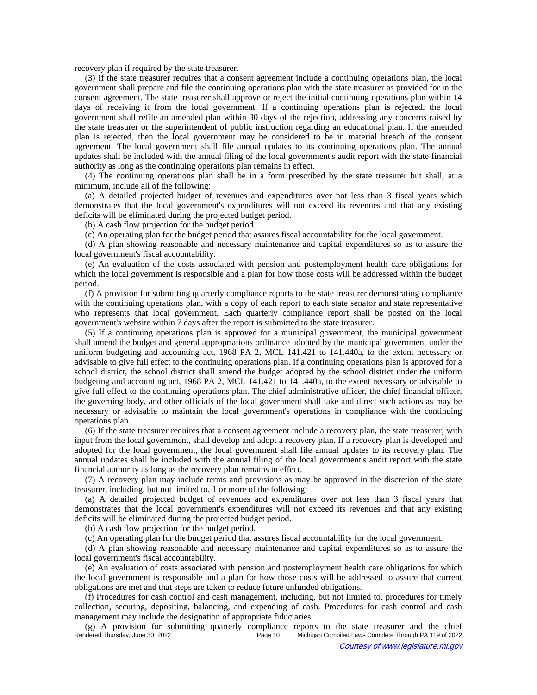recovery plan if required by the state treasurer.

(3) If the state treasurer requires that a consent agreement include a continuing operations plan, the local government shall prepare and file the continuing operations plan with the state treasurer as provided for in the consent agreement. The state treasurer shall approve or reject the initial continuing operations plan within 14 days of receiving it from the local government. If a continuing operations plan is rejected, the local government shall refile an amended plan within 30 days of the rejection, addressing any concerns raised by the state treasurer or the superintendent of public instruction regarding an educational plan. If the amended plan is rejected, then the local government may be considered to be in material breach of the consent agreement. The local government shall file annual updates to its continuing operations plan. The annual updates shall be included with the annual filing of the local government's audit report with the state financial authority as long as the continuing operations plan remains in effect.

(4) The continuing operations plan shall be in a form prescribed by the state treasurer but shall, at a minimum, include all of the following:

(a) A detailed projected budget of revenues and expenditures over not less than 3 fiscal years which demonstrates that the local government's expenditures will not exceed its revenues and that any existing deficits will be eliminated during the projected budget period.

(b) A cash flow projection for the budget period.

(c) An operating plan for the budget period that assures fiscal accountability for the local government.

(d) A plan showing reasonable and necessary maintenance and capital expenditures so as to assure the local government's fiscal accountability.

(e) An evaluation of the costs associated with pension and postemployment health care obligations for which the local government is responsible and a plan for how those costs will be addressed within the budget period.

(f) A provision for submitting quarterly compliance reports to the state treasurer demonstrating compliance with the continuing operations plan, with a copy of each report to each state senator and state representative who represents that local government. Each quarterly compliance report shall be posted on the local government's website within 7 days after the report is submitted to the state treasurer.

(5) If a continuing operations plan is approved for a municipal government, the municipal government shall amend the budget and general appropriations ordinance adopted by the municipal government under the uniform budgeting and accounting act, 1968 PA 2, MCL 141.421 to 141.440a, to the extent necessary or advisable to give full effect to the continuing operations plan. If a continuing operations plan is approved for a school district, the school district shall amend the budget adopted by the school district under the uniform budgeting and accounting act, 1968 PA 2, MCL 141.421 to 141.440a, to the extent necessary or advisable to give full effect to the continuing operations plan. The chief administrative officer, the chief financial officer, the governing body, and other officials of the local government shall take and direct such actions as may be necessary or advisable to maintain the local government's operations in compliance with the continuing operations plan.

(6) If the state treasurer requires that a consent agreement include a recovery plan, the state treasurer, with input from the local government, shall develop and adopt a recovery plan. If a recovery plan is developed and adopted for the local government, the local government shall file annual updates to its recovery plan. The annual updates shall be included with the annual filing of the local government's audit report with the state financial authority as long as the recovery plan remains in effect.

(7) A recovery plan may include terms and provisions as may be approved in the discretion of the state treasurer, including, but not limited to, 1 or more of the following:

(a) A detailed projected budget of revenues and expenditures over not less than 3 fiscal years that demonstrates that the local government's expenditures will not exceed its revenues and that any existing deficits will be eliminated during the projected budget period.

(b) A cash flow projection for the budget period.

(c) An operating plan for the budget period that assures fiscal accountability for the local government.

(d) A plan showing reasonable and necessary maintenance and capital expenditures so as to assure the local government's fiscal accountability.

(e) An evaluation of costs associated with pension and postemployment health care obligations for which the local government is responsible and a plan for how those costs will be addressed to assure that current obligations are met and that steps are taken to reduce future unfunded obligations.

(f) Procedures for cash control and cash management, including, but not limited to, procedures for timely collection, securing, depositing, balancing, and expending of cash. Procedures for cash control and cash management may include the designation of appropriate fiduciaries.

(g) A provision for submitting quarterly compliance reports to the state treasurer and the chief<br>Rendered Thursday, June 30, 2022<br>Page 10 Michigan Compiled Laws Complete Through PA 119 of 2022 Michigan Compiled Laws Complete Through PA 119 of 2022 Courtesy of www.legislature.mi.gov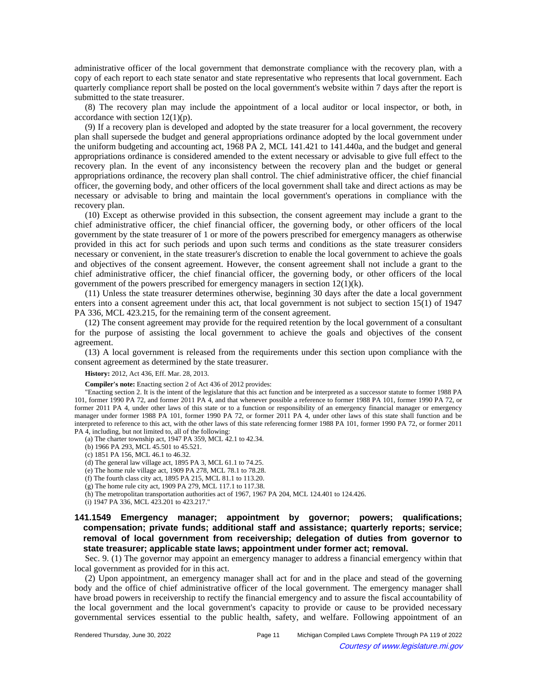administrative officer of the local government that demonstrate compliance with the recovery plan, with a copy of each report to each state senator and state representative who represents that local government. Each quarterly compliance report shall be posted on the local government's website within 7 days after the report is submitted to the state treasurer.

(8) The recovery plan may include the appointment of a local auditor or local inspector, or both, in accordance with section  $12(1)(p)$ .

(9) If a recovery plan is developed and adopted by the state treasurer for a local government, the recovery plan shall supersede the budget and general appropriations ordinance adopted by the local government under the uniform budgeting and accounting act, 1968 PA 2, MCL 141.421 to 141.440a, and the budget and general appropriations ordinance is considered amended to the extent necessary or advisable to give full effect to the recovery plan. In the event of any inconsistency between the recovery plan and the budget or general appropriations ordinance, the recovery plan shall control. The chief administrative officer, the chief financial officer, the governing body, and other officers of the local government shall take and direct actions as may be necessary or advisable to bring and maintain the local government's operations in compliance with the recovery plan.

(10) Except as otherwise provided in this subsection, the consent agreement may include a grant to the chief administrative officer, the chief financial officer, the governing body, or other officers of the local government by the state treasurer of 1 or more of the powers prescribed for emergency managers as otherwise provided in this act for such periods and upon such terms and conditions as the state treasurer considers necessary or convenient, in the state treasurer's discretion to enable the local government to achieve the goals and objectives of the consent agreement. However, the consent agreement shall not include a grant to the chief administrative officer, the chief financial officer, the governing body, or other officers of the local government of the powers prescribed for emergency managers in section 12(1)(k).

(11) Unless the state treasurer determines otherwise, beginning 30 days after the date a local government enters into a consent agreement under this act, that local government is not subject to section 15(1) of 1947 PA 336, MCL 423.215, for the remaining term of the consent agreement.

(12) The consent agreement may provide for the required retention by the local government of a consultant for the purpose of assisting the local government to achieve the goals and objectives of the consent agreement.

(13) A local government is released from the requirements under this section upon compliance with the consent agreement as determined by the state treasurer.

**History:** 2012, Act 436, Eff. Mar. 28, 2013.

**Compiler's note:** Enacting section 2 of Act 436 of 2012 provides:

"Enacting section 2. It is the intent of the legislature that this act function and be interpreted as a successor statute to former 1988 PA 101, former 1990 PA 72, and former 2011 PA 4, and that whenever possible a reference to former 1988 PA 101, former 1990 PA 72, or former 2011 PA 4, under other laws of this state or to a function or responsibility of an emergency financial manager or emergency manager under former 1988 PA 101, former 1990 PA 72, or former 2011 PA 4, under other laws of this state shall function and be interpreted to reference to this act, with the other laws of this state referencing former 1988 PA 101, former 1990 PA 72, or former 2011 PA 4, including, but not limited to, all of the following:

(a) The charter township act, 1947 PA 359, MCL 42.1 to 42.34.

(b) 1966 PA 293, MCL 45.501 to 45.521.

(c) 1851 PA 156, MCL 46.1 to 46.32.

(d) The general law village act, 1895 PA 3, MCL 61.1 to 74.25.

(e) The home rule village act, 1909 PA 278, MCL 78.1 to 78.28.

(f) The fourth class city act, 1895 PA 215, MCL 81.1 to 113.20.

(g) The home rule city act, 1909 PA 279, MCL 117.1 to 117.38.

(h) The metropolitan transportation authorities act of 1967, 1967 PA 204, MCL 124.401 to 124.426.

(i) 1947 PA 336, MCL 423.201 to 423.217."

# **141.1549 Emergency manager; appointment by governor; powers; qualifications; compensation; private funds; additional staff and assistance; quarterly reports; service; removal of local government from receivership; delegation of duties from governor to state treasurer; applicable state laws; appointment under former act; removal.**

Sec. 9. (1) The governor may appoint an emergency manager to address a financial emergency within that local government as provided for in this act.

(2) Upon appointment, an emergency manager shall act for and in the place and stead of the governing body and the office of chief administrative officer of the local government. The emergency manager shall have broad powers in receivership to rectify the financial emergency and to assure the fiscal accountability of the local government and the local government's capacity to provide or cause to be provided necessary governmental services essential to the public health, safety, and welfare. Following appointment of an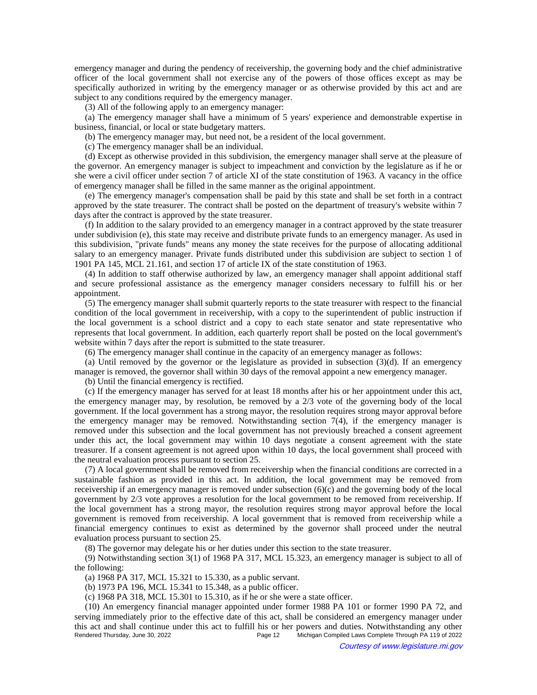emergency manager and during the pendency of receivership, the governing body and the chief administrative officer of the local government shall not exercise any of the powers of those offices except as may be specifically authorized in writing by the emergency manager or as otherwise provided by this act and are subject to any conditions required by the emergency manager.

(3) All of the following apply to an emergency manager:

(a) The emergency manager shall have a minimum of 5 years' experience and demonstrable expertise in business, financial, or local or state budgetary matters.

(b) The emergency manager may, but need not, be a resident of the local government.

(c) The emergency manager shall be an individual.

(d) Except as otherwise provided in this subdivision, the emergency manager shall serve at the pleasure of the governor. An emergency manager is subject to impeachment and conviction by the legislature as if he or she were a civil officer under section 7 of article XI of the state constitution of 1963. A vacancy in the office of emergency manager shall be filled in the same manner as the original appointment.

(e) The emergency manager's compensation shall be paid by this state and shall be set forth in a contract approved by the state treasurer. The contract shall be posted on the department of treasury's website within 7 days after the contract is approved by the state treasurer.

(f) In addition to the salary provided to an emergency manager in a contract approved by the state treasurer under subdivision (e), this state may receive and distribute private funds to an emergency manager. As used in this subdivision, "private funds" means any money the state receives for the purpose of allocating additional salary to an emergency manager. Private funds distributed under this subdivision are subject to section 1 of 1901 PA 145, MCL 21.161, and section 17 of article IX of the state constitution of 1963.

(4) In addition to staff otherwise authorized by law, an emergency manager shall appoint additional staff and secure professional assistance as the emergency manager considers necessary to fulfill his or her appointment.

(5) The emergency manager shall submit quarterly reports to the state treasurer with respect to the financial condition of the local government in receivership, with a copy to the superintendent of public instruction if the local government is a school district and a copy to each state senator and state representative who represents that local government. In addition, each quarterly report shall be posted on the local government's website within 7 days after the report is submitted to the state treasurer.

(6) The emergency manager shall continue in the capacity of an emergency manager as follows:

(a) Until removed by the governor or the legislature as provided in subsection (3)(d). If an emergency manager is removed, the governor shall within 30 days of the removal appoint a new emergency manager.

(b) Until the financial emergency is rectified.

(c) If the emergency manager has served for at least 18 months after his or her appointment under this act, the emergency manager may, by resolution, be removed by a 2/3 vote of the governing body of the local government. If the local government has a strong mayor, the resolution requires strong mayor approval before the emergency manager may be removed. Notwithstanding section 7(4), if the emergency manager is removed under this subsection and the local government has not previously breached a consent agreement under this act, the local government may within 10 days negotiate a consent agreement with the state treasurer. If a consent agreement is not agreed upon within 10 days, the local government shall proceed with the neutral evaluation process pursuant to section 25.

(7) A local government shall be removed from receivership when the financial conditions are corrected in a sustainable fashion as provided in this act. In addition, the local government may be removed from receivership if an emergency manager is removed under subsection (6)(c) and the governing body of the local government by 2/3 vote approves a resolution for the local government to be removed from receivership. If the local government has a strong mayor, the resolution requires strong mayor approval before the local government is removed from receivership. A local government that is removed from receivership while a financial emergency continues to exist as determined by the governor shall proceed under the neutral evaluation process pursuant to section 25.

(8) The governor may delegate his or her duties under this section to the state treasurer.

(9) Notwithstanding section 3(1) of 1968 PA 317, MCL 15.323, an emergency manager is subject to all of the following:

(a) 1968 PA 317, MCL 15.321 to 15.330, as a public servant.

(b) 1973 PA 196, MCL 15.341 to 15.348, as a public officer.

(c) 1968 PA 318, MCL 15.301 to 15.310, as if he or she were a state officer.

(10) An emergency financial manager appointed under former 1988 PA 101 or former 1990 PA 72, and serving immediately prior to the effective date of this act, shall be considered an emergency manager under this act and shall continue under this act to fulfill his or her powers and duties. Notwithstanding any other<br>Rendered Thursday, June 30, 2022<br>Rege 12 Michigan Compiled Laws Complete Through PA 119 of 2022 Michigan Compiled Laws Complete Through PA 119 of 2022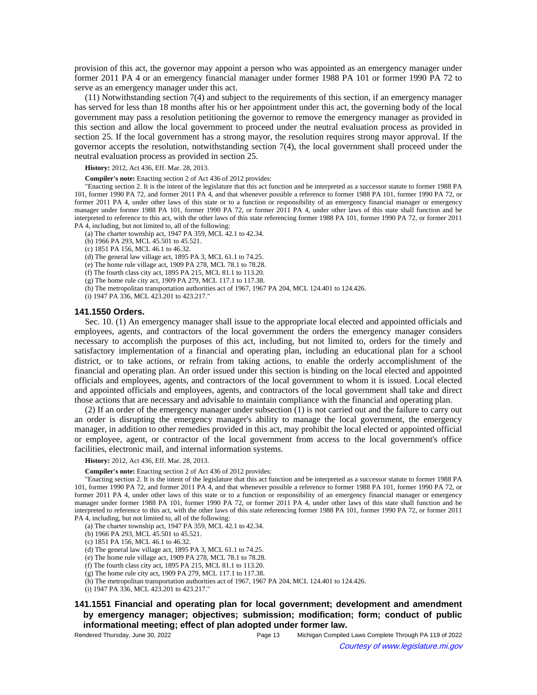provision of this act, the governor may appoint a person who was appointed as an emergency manager under former 2011 PA 4 or an emergency financial manager under former 1988 PA 101 or former 1990 PA 72 to serve as an emergency manager under this act.

(11) Notwithstanding section 7(4) and subject to the requirements of this section, if an emergency manager has served for less than 18 months after his or her appointment under this act, the governing body of the local government may pass a resolution petitioning the governor to remove the emergency manager as provided in this section and allow the local government to proceed under the neutral evaluation process as provided in section 25. If the local government has a strong mayor, the resolution requires strong mayor approval. If the governor accepts the resolution, notwithstanding section 7(4), the local government shall proceed under the neutral evaluation process as provided in section 25.

**History:** 2012, Act 436, Eff. Mar. 28, 2013.

**Compiler's note:** Enacting section 2 of Act 436 of 2012 provides:

"Enacting section 2. It is the intent of the legislature that this act function and be interpreted as a successor statute to former 1988 PA 101, former 1990 PA 72, and former 2011 PA 4, and that whenever possible a reference to former 1988 PA 101, former 1990 PA 72, or former 2011 PA 4, under other laws of this state or to a function or responsibility of an emergency financial manager or emergency manager under former 1988 PA 101, former 1990 PA 72, or former 2011 PA 4, under other laws of this state shall function and be interpreted to reference to this act, with the other laws of this state referencing former 1988 PA 101, former 1990 PA 72, or former 2011 PA 4, including, but not limited to, all of the following:

(a) The charter township act, 1947 PA 359, MCL 42.1 to 42.34.

(b) 1966 PA 293, MCL 45.501 to 45.521.

(c) 1851 PA 156, MCL 46.1 to 46.32.

(d) The general law village act, 1895 PA 3, MCL 61.1 to 74.25.

(e) The home rule village act, 1909 PA 278, MCL 78.1 to 78.28.

(f) The fourth class city act, 1895 PA 215, MCL 81.1 to 113.20. (g) The home rule city act, 1909 PA 279, MCL 117.1 to 117.38.

(h) The metropolitan transportation authorities act of 1967, 1967 PA 204, MCL 124.401 to 124.426.

(i) 1947 PA 336, MCL 423.201 to 423.217."

#### **141.1550 Orders.**

Sec. 10. (1) An emergency manager shall issue to the appropriate local elected and appointed officials and employees, agents, and contractors of the local government the orders the emergency manager considers necessary to accomplish the purposes of this act, including, but not limited to, orders for the timely and satisfactory implementation of a financial and operating plan, including an educational plan for a school district, or to take actions, or refrain from taking actions, to enable the orderly accomplishment of the financial and operating plan. An order issued under this section is binding on the local elected and appointed officials and employees, agents, and contractors of the local government to whom it is issued. Local elected and appointed officials and employees, agents, and contractors of the local government shall take and direct those actions that are necessary and advisable to maintain compliance with the financial and operating plan.

(2) If an order of the emergency manager under subsection (1) is not carried out and the failure to carry out an order is disrupting the emergency manager's ability to manage the local government, the emergency manager, in addition to other remedies provided in this act, may prohibit the local elected or appointed official or employee, agent, or contractor of the local government from access to the local government's office facilities, electronic mail, and internal information systems.

**History:** 2012, Act 436, Eff. Mar. 28, 2013.

**Compiler's note:** Enacting section 2 of Act 436 of 2012 provides:

"Enacting section 2. It is the intent of the legislature that this act function and be interpreted as a successor statute to former 1988 PA 101, former 1990 PA 72, and former 2011 PA 4, and that whenever possible a reference to former 1988 PA 101, former 1990 PA 72, or former 2011 PA 4, under other laws of this state or to a function or responsibility of an emergency financial manager or emergency manager under former 1988 PA 101, former 1990 PA 72, or former 2011 PA 4, under other laws of this state shall function and be interpreted to reference to this act, with the other laws of this state referencing former 1988 PA 101, former 1990 PA 72, or former 2011 PA 4, including, but not limited to, all of the following:

(a) The charter township act, 1947 PA 359, MCL 42.1 to 42.34.

(b) 1966 PA 293, MCL 45.501 to 45.521.

(c) 1851 PA 156, MCL 46.1 to 46.32.

(d) The general law village act, 1895 PA 3, MCL 61.1 to 74.25.

(e) The home rule village act, 1909 PA 278, MCL 78.1 to 78.28.

(f) The fourth class city act, 1895 PA 215, MCL 81.1 to 113.20.

(g) The home rule city act, 1909 PA 279, MCL 117.1 to 117.38.

(h) The metropolitan transportation authorities act of 1967, 1967 PA 204, MCL 124.401 to 124.426.

(i) 1947 PA 336, MCL 423.201 to 423.217."

# **141.1551 Financial and operating plan for local government; development and amendment by emergency manager; objectives; submission; modification; form; conduct of public informational meeting; effect of plan adopted under former law.**

Rendered Thursday, June 30, 2022 Page 13 Michigan Compiled Laws Complete Through PA 119 of 2022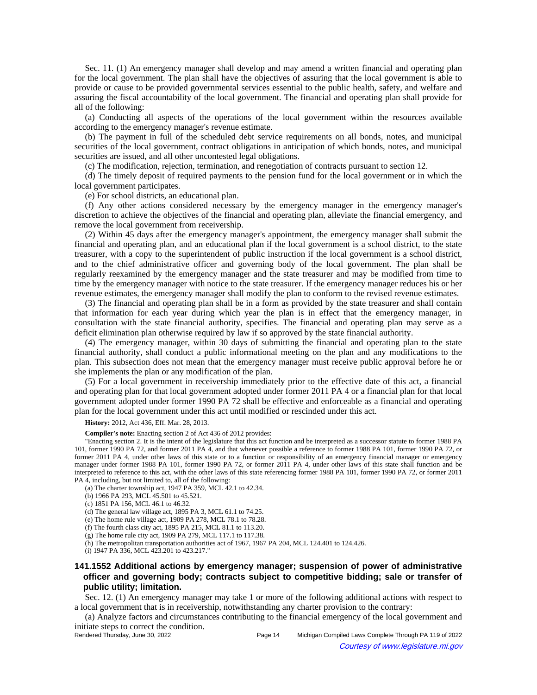Sec. 11. (1) An emergency manager shall develop and may amend a written financial and operating plan for the local government. The plan shall have the objectives of assuring that the local government is able to provide or cause to be provided governmental services essential to the public health, safety, and welfare and assuring the fiscal accountability of the local government. The financial and operating plan shall provide for all of the following:

(a) Conducting all aspects of the operations of the local government within the resources available according to the emergency manager's revenue estimate.

(b) The payment in full of the scheduled debt service requirements on all bonds, notes, and municipal securities of the local government, contract obligations in anticipation of which bonds, notes, and municipal securities are issued, and all other uncontested legal obligations.

(c) The modification, rejection, termination, and renegotiation of contracts pursuant to section 12.

(d) The timely deposit of required payments to the pension fund for the local government or in which the local government participates.

(e) For school districts, an educational plan.

(f) Any other actions considered necessary by the emergency manager in the emergency manager's discretion to achieve the objectives of the financial and operating plan, alleviate the financial emergency, and remove the local government from receivership.

(2) Within 45 days after the emergency manager's appointment, the emergency manager shall submit the financial and operating plan, and an educational plan if the local government is a school district, to the state treasurer, with a copy to the superintendent of public instruction if the local government is a school district, and to the chief administrative officer and governing body of the local government. The plan shall be regularly reexamined by the emergency manager and the state treasurer and may be modified from time to time by the emergency manager with notice to the state treasurer. If the emergency manager reduces his or her revenue estimates, the emergency manager shall modify the plan to conform to the revised revenue estimates.

(3) The financial and operating plan shall be in a form as provided by the state treasurer and shall contain that information for each year during which year the plan is in effect that the emergency manager, in consultation with the state financial authority, specifies. The financial and operating plan may serve as a deficit elimination plan otherwise required by law if so approved by the state financial authority.

(4) The emergency manager, within 30 days of submitting the financial and operating plan to the state financial authority, shall conduct a public informational meeting on the plan and any modifications to the plan. This subsection does not mean that the emergency manager must receive public approval before he or she implements the plan or any modification of the plan.

(5) For a local government in receivership immediately prior to the effective date of this act, a financial and operating plan for that local government adopted under former 2011 PA 4 or a financial plan for that local government adopted under former 1990 PA 72 shall be effective and enforceable as a financial and operating plan for the local government under this act until modified or rescinded under this act.

**History:** 2012, Act 436, Eff. Mar. 28, 2013.

**Compiler's note:** Enacting section 2 of Act 436 of 2012 provides:

"Enacting section 2. It is the intent of the legislature that this act function and be interpreted as a successor statute to former 1988 PA 101, former 1990 PA 72, and former 2011 PA 4, and that whenever possible a reference to former 1988 PA 101, former 1990 PA 72, or former 2011 PA 4, under other laws of this state or to a function or responsibility of an emergency financial manager or emergency manager under former 1988 PA 101, former 1990 PA 72, or former 2011 PA 4, under other laws of this state shall function and be interpreted to reference to this act, with the other laws of this state referencing former 1988 PA 101, former 1990 PA 72, or former 2011 PA 4, including, but not limited to, all of the following:

(a) The charter township act, 1947 PA 359, MCL 42.1 to 42.34.

(b) 1966 PA 293, MCL 45.501 to 45.521.

(c) 1851 PA 156, MCL 46.1 to 46.32.

(d) The general law village act, 1895 PA 3, MCL 61.1 to 74.25.

(e) The home rule village act, 1909 PA 278, MCL 78.1 to 78.28.

(f) The fourth class city act, 1895 PA 215, MCL 81.1 to 113.20. (g) The home rule city act, 1909 PA 279, MCL 117.1 to 117.38.

(h) The metropolitan transportation authorities act of 1967, 1967 PA 204, MCL 124.401 to 124.426.

(i) 1947 PA 336, MCL 423.201 to 423.217."

# **141.1552 Additional actions by emergency manager; suspension of power of administrative officer and governing body; contracts subject to competitive bidding; sale or transfer of public utility; limitation.**

Sec. 12. (1) An emergency manager may take 1 or more of the following additional actions with respect to a local government that is in receivership, notwithstanding any charter provision to the contrary:

(a) Analyze factors and circumstances contributing to the financial emergency of the local government and initiate steps to correct the condition.<br>Rendered Thursday, June 30, 2022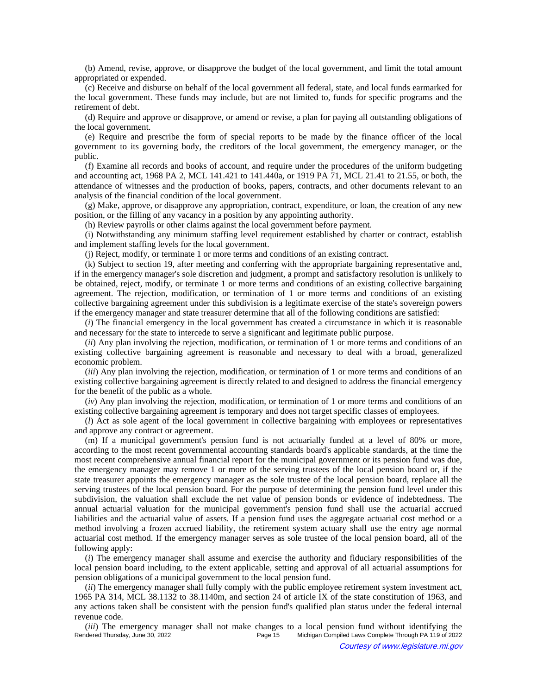(b) Amend, revise, approve, or disapprove the budget of the local government, and limit the total amount appropriated or expended.

(c) Receive and disburse on behalf of the local government all federal, state, and local funds earmarked for the local government. These funds may include, but are not limited to, funds for specific programs and the retirement of debt.

(d) Require and approve or disapprove, or amend or revise, a plan for paying all outstanding obligations of the local government.

(e) Require and prescribe the form of special reports to be made by the finance officer of the local government to its governing body, the creditors of the local government, the emergency manager, or the public.

(f) Examine all records and books of account, and require under the procedures of the uniform budgeting and accounting act, 1968 PA 2, MCL 141.421 to 141.440a, or 1919 PA 71, MCL 21.41 to 21.55, or both, the attendance of witnesses and the production of books, papers, contracts, and other documents relevant to an analysis of the financial condition of the local government.

(g) Make, approve, or disapprove any appropriation, contract, expenditure, or loan, the creation of any new position, or the filling of any vacancy in a position by any appointing authority.

(h) Review payrolls or other claims against the local government before payment.

(i) Notwithstanding any minimum staffing level requirement established by charter or contract, establish and implement staffing levels for the local government.

(j) Reject, modify, or terminate 1 or more terms and conditions of an existing contract.

(k) Subject to section 19, after meeting and conferring with the appropriate bargaining representative and, if in the emergency manager's sole discretion and judgment, a prompt and satisfactory resolution is unlikely to be obtained, reject, modify, or terminate 1 or more terms and conditions of an existing collective bargaining agreement. The rejection, modification, or termination of 1 or more terms and conditions of an existing collective bargaining agreement under this subdivision is a legitimate exercise of the state's sovereign powers if the emergency manager and state treasurer determine that all of the following conditions are satisfied:

(*i*) The financial emergency in the local government has created a circumstance in which it is reasonable and necessary for the state to intercede to serve a significant and legitimate public purpose.

(*ii*) Any plan involving the rejection, modification, or termination of 1 or more terms and conditions of an existing collective bargaining agreement is reasonable and necessary to deal with a broad, generalized economic problem.

(*iii*) Any plan involving the rejection, modification, or termination of 1 or more terms and conditions of an existing collective bargaining agreement is directly related to and designed to address the financial emergency for the benefit of the public as a whole.

(*iv*) Any plan involving the rejection, modification, or termination of 1 or more terms and conditions of an existing collective bargaining agreement is temporary and does not target specific classes of employees.

(*l*) Act as sole agent of the local government in collective bargaining with employees or representatives and approve any contract or agreement.

(m) If a municipal government's pension fund is not actuarially funded at a level of 80% or more, according to the most recent governmental accounting standards board's applicable standards, at the time the most recent comprehensive annual financial report for the municipal government or its pension fund was due, the emergency manager may remove 1 or more of the serving trustees of the local pension board or, if the state treasurer appoints the emergency manager as the sole trustee of the local pension board, replace all the serving trustees of the local pension board. For the purpose of determining the pension fund level under this subdivision, the valuation shall exclude the net value of pension bonds or evidence of indebtedness. The annual actuarial valuation for the municipal government's pension fund shall use the actuarial accrued liabilities and the actuarial value of assets. If a pension fund uses the aggregate actuarial cost method or a method involving a frozen accrued liability, the retirement system actuary shall use the entry age normal actuarial cost method. If the emergency manager serves as sole trustee of the local pension board, all of the following apply:

(*i*) The emergency manager shall assume and exercise the authority and fiduciary responsibilities of the local pension board including, to the extent applicable, setting and approval of all actuarial assumptions for pension obligations of a municipal government to the local pension fund.

(*ii*) The emergency manager shall fully comply with the public employee retirement system investment act, 1965 PA 314, MCL 38.1132 to 38.1140m, and section 24 of article IX of the state constitution of 1963, and any actions taken shall be consistent with the pension fund's qualified plan status under the federal internal revenue code.

(*iii*) The emergency manager shall not make changes to a local pension fund without identifying the<br>Rendered Thursday, June 30, 2022<br>Page 15 Michigan Compiled Laws Complete Through PA 119 of 2022 Michigan Compiled Laws Complete Through PA 119 of 2022 Courtesy of www.legislature.mi.gov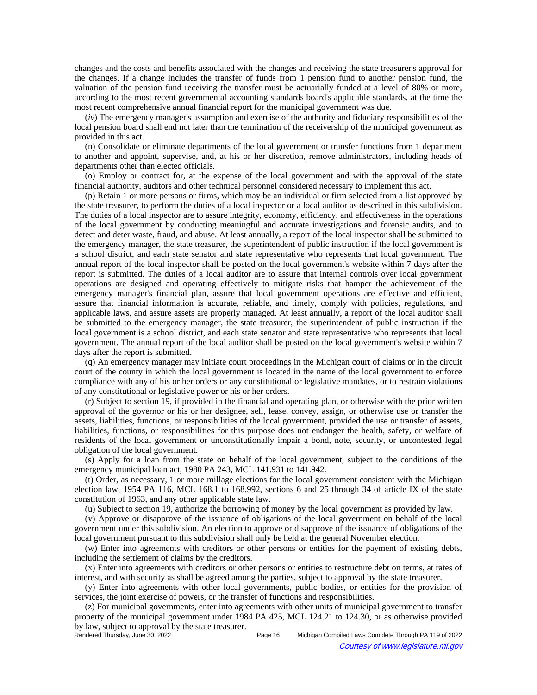changes and the costs and benefits associated with the changes and receiving the state treasurer's approval for the changes. If a change includes the transfer of funds from 1 pension fund to another pension fund, the valuation of the pension fund receiving the transfer must be actuarially funded at a level of 80% or more, according to the most recent governmental accounting standards board's applicable standards, at the time the most recent comprehensive annual financial report for the municipal government was due.

(*iv*) The emergency manager's assumption and exercise of the authority and fiduciary responsibilities of the local pension board shall end not later than the termination of the receivership of the municipal government as provided in this act.

(n) Consolidate or eliminate departments of the local government or transfer functions from 1 department to another and appoint, supervise, and, at his or her discretion, remove administrators, including heads of departments other than elected officials.

(o) Employ or contract for, at the expense of the local government and with the approval of the state financial authority, auditors and other technical personnel considered necessary to implement this act.

(p) Retain 1 or more persons or firms, which may be an individual or firm selected from a list approved by the state treasurer, to perform the duties of a local inspector or a local auditor as described in this subdivision. The duties of a local inspector are to assure integrity, economy, efficiency, and effectiveness in the operations of the local government by conducting meaningful and accurate investigations and forensic audits, and to detect and deter waste, fraud, and abuse. At least annually, a report of the local inspector shall be submitted to the emergency manager, the state treasurer, the superintendent of public instruction if the local government is a school district, and each state senator and state representative who represents that local government. The annual report of the local inspector shall be posted on the local government's website within 7 days after the report is submitted. The duties of a local auditor are to assure that internal controls over local government operations are designed and operating effectively to mitigate risks that hamper the achievement of the emergency manager's financial plan, assure that local government operations are effective and efficient, assure that financial information is accurate, reliable, and timely, comply with policies, regulations, and applicable laws, and assure assets are properly managed. At least annually, a report of the local auditor shall be submitted to the emergency manager, the state treasurer, the superintendent of public instruction if the local government is a school district, and each state senator and state representative who represents that local government. The annual report of the local auditor shall be posted on the local government's website within 7 days after the report is submitted.

(q) An emergency manager may initiate court proceedings in the Michigan court of claims or in the circuit court of the county in which the local government is located in the name of the local government to enforce compliance with any of his or her orders or any constitutional or legislative mandates, or to restrain violations of any constitutional or legislative power or his or her orders.

(r) Subject to section 19, if provided in the financial and operating plan, or otherwise with the prior written approval of the governor or his or her designee, sell, lease, convey, assign, or otherwise use or transfer the assets, liabilities, functions, or responsibilities of the local government, provided the use or transfer of assets, liabilities, functions, or responsibilities for this purpose does not endanger the health, safety, or welfare of residents of the local government or unconstitutionally impair a bond, note, security, or uncontested legal obligation of the local government.

(s) Apply for a loan from the state on behalf of the local government, subject to the conditions of the emergency municipal loan act, 1980 PA 243, MCL 141.931 to 141.942.

(t) Order, as necessary, 1 or more millage elections for the local government consistent with the Michigan election law, 1954 PA 116, MCL 168.1 to 168.992, sections 6 and 25 through 34 of article IX of the state constitution of 1963, and any other applicable state law.

(u) Subject to section 19, authorize the borrowing of money by the local government as provided by law.

(v) Approve or disapprove of the issuance of obligations of the local government on behalf of the local government under this subdivision. An election to approve or disapprove of the issuance of obligations of the local government pursuant to this subdivision shall only be held at the general November election.

(w) Enter into agreements with creditors or other persons or entities for the payment of existing debts, including the settlement of claims by the creditors.

(x) Enter into agreements with creditors or other persons or entities to restructure debt on terms, at rates of interest, and with security as shall be agreed among the parties, subject to approval by the state treasurer.

(y) Enter into agreements with other local governments, public bodies, or entities for the provision of services, the joint exercise of powers, or the transfer of functions and responsibilities.

(z) For municipal governments, enter into agreements with other units of municipal government to transfer property of the municipal government under 1984 PA 425, MCL 124.21 to 124.30, or as otherwise provided by law, subject to approval by the state treasurer.<br>Rendered Thursday, June 30, 2022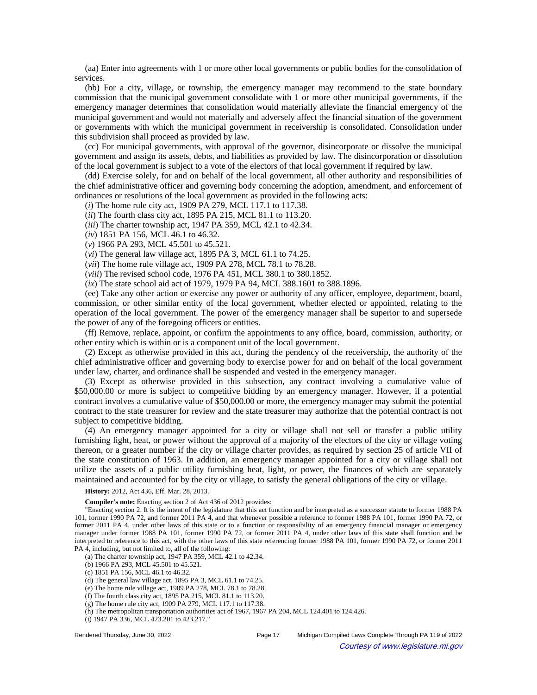(aa) Enter into agreements with 1 or more other local governments or public bodies for the consolidation of services.

(bb) For a city, village, or township, the emergency manager may recommend to the state boundary commission that the municipal government consolidate with 1 or more other municipal governments, if the emergency manager determines that consolidation would materially alleviate the financial emergency of the municipal government and would not materially and adversely affect the financial situation of the government or governments with which the municipal government in receivership is consolidated. Consolidation under this subdivision shall proceed as provided by law.

(cc) For municipal governments, with approval of the governor, disincorporate or dissolve the municipal government and assign its assets, debts, and liabilities as provided by law. The disincorporation or dissolution of the local government is subject to a vote of the electors of that local government if required by law.

(dd) Exercise solely, for and on behalf of the local government, all other authority and responsibilities of the chief administrative officer and governing body concerning the adoption, amendment, and enforcement of ordinances or resolutions of the local government as provided in the following acts:

(*i*) The home rule city act, 1909 PA 279, MCL 117.1 to 117.38.

(*ii*) The fourth class city act, 1895 PA 215, MCL 81.1 to 113.20.

(*iii*) The charter township act, 1947 PA 359, MCL 42.1 to 42.34.

(*iv*) 1851 PA 156, MCL 46.1 to 46.32.

(*v*) 1966 PA 293, MCL 45.501 to 45.521.

(*vi*) The general law village act, 1895 PA 3, MCL 61.1 to 74.25.

(*vii*) The home rule village act, 1909 PA 278, MCL 78.1 to 78.28.

(*viii*) The revised school code, 1976 PA 451, MCL 380.1 to 380.1852.

(*ix*) The state school aid act of 1979, 1979 PA 94, MCL 388.1601 to 388.1896.

(ee) Take any other action or exercise any power or authority of any officer, employee, department, board, commission, or other similar entity of the local government, whether elected or appointed, relating to the operation of the local government. The power of the emergency manager shall be superior to and supersede the power of any of the foregoing officers or entities.

(ff) Remove, replace, appoint, or confirm the appointments to any office, board, commission, authority, or other entity which is within or is a component unit of the local government.

(2) Except as otherwise provided in this act, during the pendency of the receivership, the authority of the chief administrative officer and governing body to exercise power for and on behalf of the local government under law, charter, and ordinance shall be suspended and vested in the emergency manager.

(3) Except as otherwise provided in this subsection, any contract involving a cumulative value of \$50,000.00 or more is subject to competitive bidding by an emergency manager. However, if a potential contract involves a cumulative value of \$50,000.00 or more, the emergency manager may submit the potential contract to the state treasurer for review and the state treasurer may authorize that the potential contract is not subject to competitive bidding.

(4) An emergency manager appointed for a city or village shall not sell or transfer a public utility furnishing light, heat, or power without the approval of a majority of the electors of the city or village voting thereon, or a greater number if the city or village charter provides, as required by section 25 of article VII of the state constitution of 1963. In addition, an emergency manager appointed for a city or village shall not utilize the assets of a public utility furnishing heat, light, or power, the finances of which are separately maintained and accounted for by the city or village, to satisfy the general obligations of the city or village.

**History:** 2012, Act 436, Eff. Mar. 28, 2013.

**Compiler's note:** Enacting section 2 of Act 436 of 2012 provides:

"Enacting section 2. It is the intent of the legislature that this act function and be interpreted as a successor statute to former 1988 PA 101, former 1990 PA 72, and former 2011 PA 4, and that whenever possible a reference to former 1988 PA 101, former 1990 PA 72, or former 2011 PA 4, under other laws of this state or to a function or responsibility of an emergency financial manager or emergency manager under former 1988 PA 101, former 1990 PA 72, or former 2011 PA 4, under other laws of this state shall function and be interpreted to reference to this act, with the other laws of this state referencing former 1988 PA 101, former 1990 PA 72, or former 2011 PA 4, including, but not limited to, all of the following:

(a) The charter township act, 1947 PA 359, MCL 42.1 to 42.34.

(b) 1966 PA 293, MCL 45.501 to 45.521.

(c) 1851 PA 156, MCL 46.1 to 46.32.

(d) The general law village act, 1895 PA 3, MCL 61.1 to 74.25.

(e) The home rule village act, 1909 PA 278, MCL 78.1 to 78.28.

(f) The fourth class city act, 1895 PA 215, MCL 81.1 to 113.20.

(g) The home rule city act, 1909 PA 279, MCL 117.1 to 117.38.

(h) The metropolitan transportation authorities act of 1967, 1967 PA 204, MCL 124.401 to 124.426.

(i) 1947 PA 336, MCL 423.201 to 423.217."

Rendered Thursday, June 30, 2022 Page 17 Michigan Compiled Laws Complete Through PA 119 of 2022 Courtesy of www.legislature.mi.gov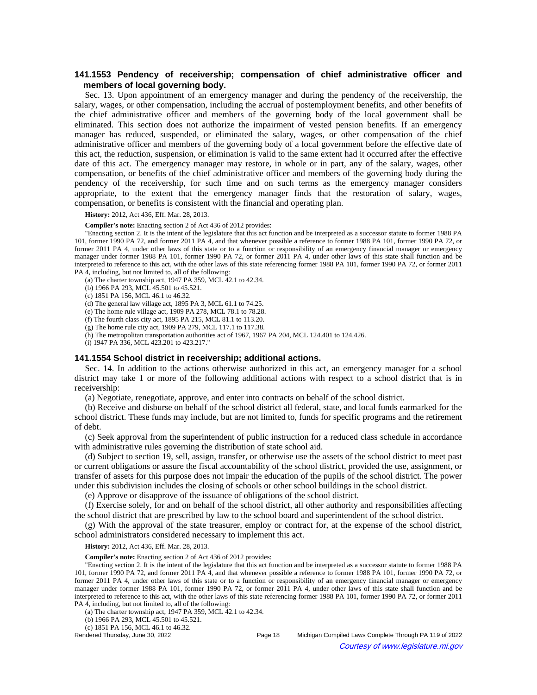## **141.1553 Pendency of receivership; compensation of chief administrative officer and members of local governing body.**

Sec. 13. Upon appointment of an emergency manager and during the pendency of the receivership, the salary, wages, or other compensation, including the accrual of postemployment benefits, and other benefits of the chief administrative officer and members of the governing body of the local government shall be eliminated. This section does not authorize the impairment of vested pension benefits. If an emergency manager has reduced, suspended, or eliminated the salary, wages, or other compensation of the chief administrative officer and members of the governing body of a local government before the effective date of this act, the reduction, suspension, or elimination is valid to the same extent had it occurred after the effective date of this act. The emergency manager may restore, in whole or in part, any of the salary, wages, other compensation, or benefits of the chief administrative officer and members of the governing body during the pendency of the receivership, for such time and on such terms as the emergency manager considers appropriate, to the extent that the emergency manager finds that the restoration of salary, wages, compensation, or benefits is consistent with the financial and operating plan.

**History:** 2012, Act 436, Eff. Mar. 28, 2013.

**Compiler's note:** Enacting section 2 of Act 436 of 2012 provides:

"Enacting section 2. It is the intent of the legislature that this act function and be interpreted as a successor statute to former 1988 PA 101, former 1990 PA 72, and former 2011 PA 4, and that whenever possible a reference to former 1988 PA 101, former 1990 PA 72, or former 2011 PA 4, under other laws of this state or to a function or responsibility of an emergency financial manager or emergency manager under former 1988 PA 101, former 1990 PA 72, or former 2011 PA 4, under other laws of this state shall function and be interpreted to reference to this act, with the other laws of this state referencing former 1988 PA 101, former 1990 PA 72, or former 2011 PA 4, including, but not limited to, all of the following:

(a) The charter township act, 1947 PA 359, MCL 42.1 to 42.34.

(b) 1966 PA 293, MCL 45.501 to 45.521.

(c) 1851 PA 156, MCL 46.1 to 46.32.

(d) The general law village act, 1895 PA 3, MCL 61.1 to 74.25.

(e) The home rule village act, 1909 PA 278, MCL 78.1 to 78.28.

(f) The fourth class city act, 1895 PA 215, MCL 81.1 to 113.20.

(g) The home rule city act, 1909 PA 279, MCL 117.1 to 117.38.

(h) The metropolitan transportation authorities act of 1967, 1967 PA 204, MCL 124.401 to 124.426.

(i) 1947 PA 336, MCL 423.201 to 423.217."

### **141.1554 School district in receivership; additional actions.**

Sec. 14. In addition to the actions otherwise authorized in this act, an emergency manager for a school district may take 1 or more of the following additional actions with respect to a school district that is in receivership:

(a) Negotiate, renegotiate, approve, and enter into contracts on behalf of the school district.

(b) Receive and disburse on behalf of the school district all federal, state, and local funds earmarked for the school district. These funds may include, but are not limited to, funds for specific programs and the retirement of debt.

(c) Seek approval from the superintendent of public instruction for a reduced class schedule in accordance with administrative rules governing the distribution of state school aid.

(d) Subject to section 19, sell, assign, transfer, or otherwise use the assets of the school district to meet past or current obligations or assure the fiscal accountability of the school district, provided the use, assignment, or transfer of assets for this purpose does not impair the education of the pupils of the school district. The power under this subdivision includes the closing of schools or other school buildings in the school district.

(e) Approve or disapprove of the issuance of obligations of the school district.

(f) Exercise solely, for and on behalf of the school district, all other authority and responsibilities affecting the school district that are prescribed by law to the school board and superintendent of the school district.

(g) With the approval of the state treasurer, employ or contract for, at the expense of the school district, school administrators considered necessary to implement this act.

**History:** 2012, Act 436, Eff. Mar. 28, 2013.

**Compiler's note:** Enacting section 2 of Act 436 of 2012 provides:

"Enacting section 2. It is the intent of the legislature that this act function and be interpreted as a successor statute to former 1988 PA 101, former 1990 PA 72, and former 2011 PA 4, and that whenever possible a reference to former 1988 PA 101, former 1990 PA 72, or former 2011 PA 4, under other laws of this state or to a function or responsibility of an emergency financial manager or emergency manager under former 1988 PA 101, former 1990 PA 72, or former 2011 PA 4, under other laws of this state shall function and be interpreted to reference to this act, with the other laws of this state referencing former 1988 PA 101, former 1990 PA 72, or former 2011 PA 4, including, but not limited to, all of the following:

(a) The charter township act, 1947 PA 359, MCL 42.1 to 42.34.

(b) 1966 PA 293, MCL 45.501 to 45.521.

(c) 1851 PA 156, MCL 46.1 to 46.32.<br>Rendered Thursday, June 30, 2022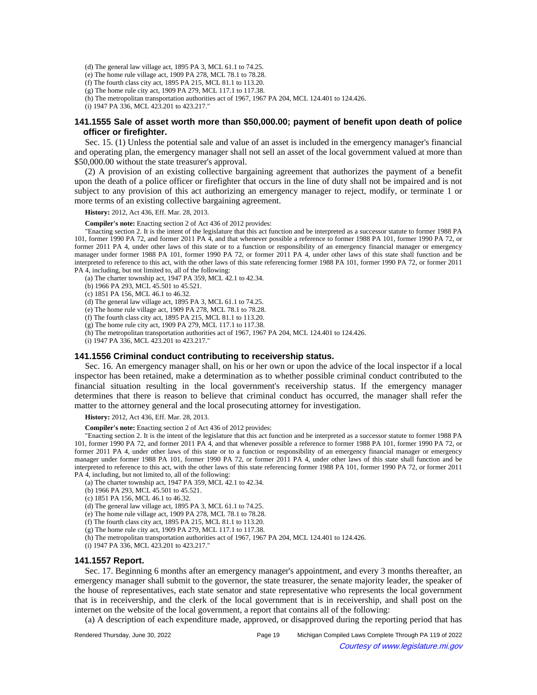(d) The general law village act, 1895 PA 3, MCL 61.1 to 74.25.

(e) The home rule village act, 1909 PA 278, MCL 78.1 to 78.28.

(f) The fourth class city act, 1895 PA 215, MCL 81.1 to 113.20. (g) The home rule city act, 1909 PA 279, MCL 117.1 to 117.38.

(h) The metropolitan transportation authorities act of 1967, 1967 PA 204, MCL 124.401 to 124.426.

(i) 1947 PA 336, MCL 423.201 to 423.217."

### **141.1555 Sale of asset worth more than \$50,000.00; payment of benefit upon death of police officer or firefighter.**

Sec. 15. (1) Unless the potential sale and value of an asset is included in the emergency manager's financial and operating plan, the emergency manager shall not sell an asset of the local government valued at more than \$50,000.00 without the state treasurer's approval.

(2) A provision of an existing collective bargaining agreement that authorizes the payment of a benefit upon the death of a police officer or firefighter that occurs in the line of duty shall not be impaired and is not subject to any provision of this act authorizing an emergency manager to reject, modify, or terminate 1 or more terms of an existing collective bargaining agreement.

**History:** 2012, Act 436, Eff. Mar. 28, 2013.

**Compiler's note:** Enacting section 2 of Act 436 of 2012 provides:

"Enacting section 2. It is the intent of the legislature that this act function and be interpreted as a successor statute to former 1988 PA 101, former 1990 PA 72, and former 2011 PA 4, and that whenever possible a reference to former 1988 PA 101, former 1990 PA 72, or former 2011 PA 4, under other laws of this state or to a function or responsibility of an emergency financial manager or emergency manager under former 1988 PA 101, former 1990 PA 72, or former 2011 PA 4, under other laws of this state shall function and be interpreted to reference to this act, with the other laws of this state referencing former 1988 PA 101, former 1990 PA 72, or former 2011 PA 4, including, but not limited to, all of the following:

(a) The charter township act, 1947 PA 359, MCL 42.1 to 42.34.

(b) 1966 PA 293, MCL 45.501 to 45.521.

(c) 1851 PA 156, MCL 46.1 to 46.32.

(d) The general law village act, 1895 PA 3, MCL 61.1 to 74.25.

(e) The home rule village act, 1909 PA 278, MCL 78.1 to 78.28.

(f) The fourth class city act, 1895 PA 215, MCL 81.1 to 113.20.

(g) The home rule city act, 1909 PA 279, MCL 117.1 to 117.38.

(h) The metropolitan transportation authorities act of 1967, 1967 PA 204, MCL 124.401 to 124.426.

(i) 1947 PA 336, MCL 423.201 to 423.217."

### **141.1556 Criminal conduct contributing to receivership status.**

Sec. 16. An emergency manager shall, on his or her own or upon the advice of the local inspector if a local inspector has been retained, make a determination as to whether possible criminal conduct contributed to the financial situation resulting in the local government's receivership status. If the emergency manager determines that there is reason to believe that criminal conduct has occurred, the manager shall refer the matter to the attorney general and the local prosecuting attorney for investigation.

**History:** 2012, Act 436, Eff. Mar. 28, 2013.

**Compiler's note:** Enacting section 2 of Act 436 of 2012 provides:

"Enacting section 2. It is the intent of the legislature that this act function and be interpreted as a successor statute to former 1988 PA 101, former 1990 PA 72, and former 2011 PA 4, and that whenever possible a reference to former 1988 PA 101, former 1990 PA 72, or former 2011 PA 4, under other laws of this state or to a function or responsibility of an emergency financial manager or emergency manager under former 1988 PA 101, former 1990 PA 72, or former 2011 PA 4, under other laws of this state shall function and be interpreted to reference to this act, with the other laws of this state referencing former 1988 PA 101, former 1990 PA 72, or former 2011 PA 4, including, but not limited to, all of the following:

(a) The charter township act, 1947 PA 359, MCL 42.1 to 42.34.

(b) 1966 PA 293, MCL 45.501 to 45.521.

(c) 1851 PA 156, MCL 46.1 to 46.32.

(d) The general law village act, 1895 PA 3, MCL 61.1 to 74.25.

(e) The home rule village act, 1909 PA 278, MCL 78.1 to 78.28.

(f) The fourth class city act, 1895 PA 215, MCL 81.1 to 113.20.

(g) The home rule city act, 1909 PA 279, MCL 117.1 to 117.38.

(h) The metropolitan transportation authorities act of 1967, 1967 PA 204, MCL 124.401 to 124.426.

(i) 1947 PA 336, MCL 423.201 to 423.217."

### **141.1557 Report.**

Sec. 17. Beginning 6 months after an emergency manager's appointment, and every 3 months thereafter, an emergency manager shall submit to the governor, the state treasurer, the senate majority leader, the speaker of the house of representatives, each state senator and state representative who represents the local government that is in receivership, and the clerk of the local government that is in receivership, and shall post on the internet on the website of the local government, a report that contains all of the following:

(a) A description of each expenditure made, approved, or disapproved during the reporting period that has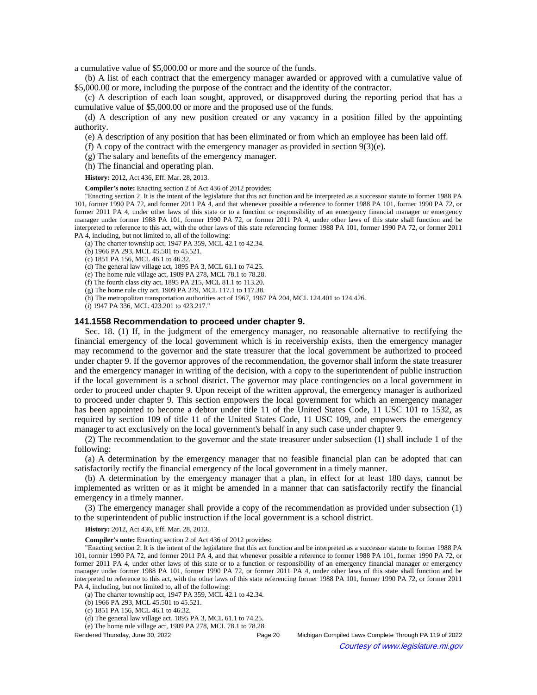a cumulative value of \$5,000.00 or more and the source of the funds.

(b) A list of each contract that the emergency manager awarded or approved with a cumulative value of \$5,000.00 or more, including the purpose of the contract and the identity of the contractor.

(c) A description of each loan sought, approved, or disapproved during the reporting period that has a cumulative value of \$5,000.00 or more and the proposed use of the funds.

(d) A description of any new position created or any vacancy in a position filled by the appointing authority.

(e) A description of any position that has been eliminated or from which an employee has been laid off.

(f) A copy of the contract with the emergency manager as provided in section  $9(3)(e)$ .

(g) The salary and benefits of the emergency manager.

(h) The financial and operating plan.

**History:** 2012, Act 436, Eff. Mar. 28, 2013.

**Compiler's note:** Enacting section 2 of Act 436 of 2012 provides:

"Enacting section 2. It is the intent of the legislature that this act function and be interpreted as a successor statute to former 1988 PA 101, former 1990 PA 72, and former 2011 PA 4, and that whenever possible a reference to former 1988 PA 101, former 1990 PA 72, or former 2011 PA 4, under other laws of this state or to a function or responsibility of an emergency financial manager or emergency manager under former 1988 PA 101, former 1990 PA 72, or former 2011 PA 4, under other laws of this state shall function and be interpreted to reference to this act, with the other laws of this state referencing former 1988 PA 101, former 1990 PA 72, or former 2011 PA 4, including, but not limited to, all of the following:

(a) The charter township act, 1947 PA 359, MCL 42.1 to 42.34.

(b) 1966 PA 293, MCL 45.501 to 45.521.

(c) 1851 PA 156, MCL 46.1 to 46.32.

(d) The general law village act, 1895 PA 3, MCL 61.1 to 74.25.

(e) The home rule village act, 1909 PA 278, MCL 78.1 to 78.28.

(f) The fourth class city act, 1895 PA 215, MCL 81.1 to 113.20.

(g) The home rule city act, 1909 PA 279, MCL 117.1 to 117.38.

(h) The metropolitan transportation authorities act of 1967, 1967 PA 204, MCL 124.401 to 124.426.

(i) 1947 PA 336, MCL 423.201 to 423.217."

### **141.1558 Recommendation to proceed under chapter 9.**

Sec. 18. (1) If, in the judgment of the emergency manager, no reasonable alternative to rectifying the financial emergency of the local government which is in receivership exists, then the emergency manager may recommend to the governor and the state treasurer that the local government be authorized to proceed under chapter 9. If the governor approves of the recommendation, the governor shall inform the state treasurer and the emergency manager in writing of the decision, with a copy to the superintendent of public instruction if the local government is a school district. The governor may place contingencies on a local government in order to proceed under chapter 9. Upon receipt of the written approval, the emergency manager is authorized to proceed under chapter 9. This section empowers the local government for which an emergency manager has been appointed to become a debtor under title 11 of the United States Code, 11 USC 101 to 1532, as required by section 109 of title 11 of the United States Code, 11 USC 109, and empowers the emergency manager to act exclusively on the local government's behalf in any such case under chapter 9.

(2) The recommendation to the governor and the state treasurer under subsection (1) shall include 1 of the following:

(a) A determination by the emergency manager that no feasible financial plan can be adopted that can satisfactorily rectify the financial emergency of the local government in a timely manner.

(b) A determination by the emergency manager that a plan, in effect for at least 180 days, cannot be implemented as written or as it might be amended in a manner that can satisfactorily rectify the financial emergency in a timely manner.

(3) The emergency manager shall provide a copy of the recommendation as provided under subsection (1) to the superintendent of public instruction if the local government is a school district.

**History:** 2012, Act 436, Eff. Mar. 28, 2013.

**Compiler's note:** Enacting section 2 of Act 436 of 2012 provides:

"Enacting section 2. It is the intent of the legislature that this act function and be interpreted as a successor statute to former 1988 PA 101, former 1990 PA 72, and former 2011 PA 4, and that whenever possible a reference to former 1988 PA 101, former 1990 PA 72, or former 2011 PA 4, under other laws of this state or to a function or responsibility of an emergency financial manager or emergency manager under former 1988 PA 101, former 1990 PA 72, or former 2011 PA 4, under other laws of this state shall function and be interpreted to reference to this act, with the other laws of this state referencing former 1988 PA 101, former 1990 PA 72, or former 2011 PA 4, including, but not limited to, all of the following:

(a) The charter township act, 1947 PA 359, MCL 42.1 to 42.34.

(b) 1966 PA 293, MCL 45.501 to 45.521.

(c) 1851 PA 156, MCL 46.1 to 46.32.

(d) The general law village act, 1895 PA 3, MCL 61.1 to 74.25.

(e) The home rule village act, 1909 PA 278, MCL 78.1 to 78.28.

Rendered Thursday, June 30, 2022 **Page 20** Michigan Compiled Laws Complete Through PA 119 of 2022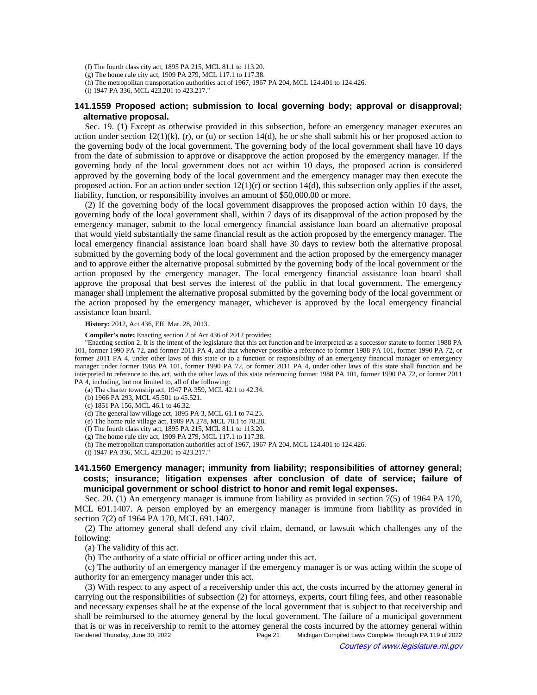(f) The fourth class city act, 1895 PA 215, MCL 81.1 to 113.20.

(g) The home rule city act, 1909 PA 279, MCL 117.1 to 117.38.

(h) The metropolitan transportation authorities act of 1967, 1967 PA 204, MCL 124.401 to 124.426.

(i) 1947 PA 336, MCL 423.201 to 423.217."

## **141.1559 Proposed action; submission to local governing body; approval or disapproval; alternative proposal.**

Sec. 19. (1) Except as otherwise provided in this subsection, before an emergency manager executes an action under section  $12(1)(k)$ , (r), or (u) or section 14(d), he or she shall submit his or her proposed action to the governing body of the local government. The governing body of the local government shall have 10 days from the date of submission to approve or disapprove the action proposed by the emergency manager. If the governing body of the local government does not act within 10 days, the proposed action is considered approved by the governing body of the local government and the emergency manager may then execute the proposed action. For an action under section  $12(1)(r)$  or section  $14(d)$ , this subsection only applies if the asset, liability, function, or responsibility involves an amount of \$50,000.00 or more.

(2) If the governing body of the local government disapproves the proposed action within 10 days, the governing body of the local government shall, within 7 days of its disapproval of the action proposed by the emergency manager, submit to the local emergency financial assistance loan board an alternative proposal that would yield substantially the same financial result as the action proposed by the emergency manager. The local emergency financial assistance loan board shall have 30 days to review both the alternative proposal submitted by the governing body of the local government and the action proposed by the emergency manager and to approve either the alternative proposal submitted by the governing body of the local government or the action proposed by the emergency manager. The local emergency financial assistance loan board shall approve the proposal that best serves the interest of the public in that local government. The emergency manager shall implement the alternative proposal submitted by the governing body of the local government or the action proposed by the emergency manager, whichever is approved by the local emergency financial assistance loan board.

#### **History:** 2012, Act 436, Eff. Mar. 28, 2013.

**Compiler's note:** Enacting section 2 of Act 436 of 2012 provides:

"Enacting section 2. It is the intent of the legislature that this act function and be interpreted as a successor statute to former 1988 PA 101, former 1990 PA 72, and former 2011 PA 4, and that whenever possible a reference to former 1988 PA 101, former 1990 PA 72, or former 2011 PA 4, under other laws of this state or to a function or responsibility of an emergency financial manager or emergency manager under former 1988 PA 101, former 1990 PA 72, or former 2011 PA 4, under other laws of this state shall function and be interpreted to reference to this act, with the other laws of this state referencing former 1988 PA 101, former 1990 PA 72, or former 2011 PA 4, including, but not limited to, all of the following:

(a) The charter township act, 1947 PA 359, MCL 42.1 to 42.34.

(b) 1966 PA 293, MCL 45.501 to 45.521.

(c) 1851 PA 156, MCL 46.1 to 46.32.

(d) The general law village act, 1895 PA 3, MCL 61.1 to 74.25.

(e) The home rule village act, 1909 PA 278, MCL 78.1 to 78.28.

(f) The fourth class city act, 1895 PA 215, MCL 81.1 to 113.20.

(g) The home rule city act, 1909 PA 279, MCL 117.1 to 117.38.

(h) The metropolitan transportation authorities act of 1967, 1967 PA 204, MCL 124.401 to 124.426.

(i) 1947 PA 336, MCL 423.201 to 423.217."

# **141.1560 Emergency manager; immunity from liability; responsibilities of attorney general; costs; insurance; litigation expenses after conclusion of date of service; failure of municipal government or school district to honor and remit legal expenses.**

Sec. 20. (1) An emergency manager is immune from liability as provided in section 7(5) of 1964 PA 170, MCL 691.1407. A person employed by an emergency manager is immune from liability as provided in section 7(2) of 1964 PA 170, MCL 691.1407.

(2) The attorney general shall defend any civil claim, demand, or lawsuit which challenges any of the following:

(a) The validity of this act.

(b) The authority of a state official or officer acting under this act.

(c) The authority of an emergency manager if the emergency manager is or was acting within the scope of authority for an emergency manager under this act.

(3) With respect to any aspect of a receivership under this act, the costs incurred by the attorney general in carrying out the responsibilities of subsection (2) for attorneys, experts, court filing fees, and other reasonable and necessary expenses shall be at the expense of the local government that is subject to that receivership and shall be reimbursed to the attorney general by the local government. The failure of a municipal government that is or was in receivership to remit to the attorney general the costs incurred by the attorney general within Rendered Thursday, June 30, 2022 Page 21 Michigan Compiled Laws Complete Through PA 119 of 2022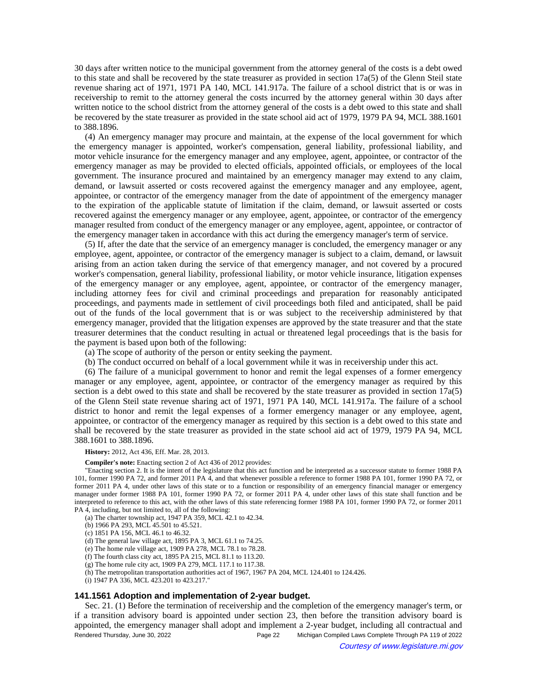30 days after written notice to the municipal government from the attorney general of the costs is a debt owed to this state and shall be recovered by the state treasurer as provided in section  $17a(5)$  of the Glenn Steil state revenue sharing act of 1971, 1971 PA 140, MCL 141.917a. The failure of a school district that is or was in receivership to remit to the attorney general the costs incurred by the attorney general within 30 days after written notice to the school district from the attorney general of the costs is a debt owed to this state and shall be recovered by the state treasurer as provided in the state school aid act of 1979, 1979 PA 94, MCL 388.1601 to 388.1896.

(4) An emergency manager may procure and maintain, at the expense of the local government for which the emergency manager is appointed, worker's compensation, general liability, professional liability, and motor vehicle insurance for the emergency manager and any employee, agent, appointee, or contractor of the emergency manager as may be provided to elected officials, appointed officials, or employees of the local government. The insurance procured and maintained by an emergency manager may extend to any claim, demand, or lawsuit asserted or costs recovered against the emergency manager and any employee, agent, appointee, or contractor of the emergency manager from the date of appointment of the emergency manager to the expiration of the applicable statute of limitation if the claim, demand, or lawsuit asserted or costs recovered against the emergency manager or any employee, agent, appointee, or contractor of the emergency manager resulted from conduct of the emergency manager or any employee, agent, appointee, or contractor of the emergency manager taken in accordance with this act during the emergency manager's term of service.

(5) If, after the date that the service of an emergency manager is concluded, the emergency manager or any employee, agent, appointee, or contractor of the emergency manager is subject to a claim, demand, or lawsuit arising from an action taken during the service of that emergency manager, and not covered by a procured worker's compensation, general liability, professional liability, or motor vehicle insurance, litigation expenses of the emergency manager or any employee, agent, appointee, or contractor of the emergency manager, including attorney fees for civil and criminal proceedings and preparation for reasonably anticipated proceedings, and payments made in settlement of civil proceedings both filed and anticipated, shall be paid out of the funds of the local government that is or was subject to the receivership administered by that emergency manager, provided that the litigation expenses are approved by the state treasurer and that the state treasurer determines that the conduct resulting in actual or threatened legal proceedings that is the basis for the payment is based upon both of the following:

(a) The scope of authority of the person or entity seeking the payment.

(b) The conduct occurred on behalf of a local government while it was in receivership under this act.

(6) The failure of a municipal government to honor and remit the legal expenses of a former emergency manager or any employee, agent, appointee, or contractor of the emergency manager as required by this section is a debt owed to this state and shall be recovered by the state treasurer as provided in section 17a(5) of the Glenn Steil state revenue sharing act of 1971, 1971 PA 140, MCL 141.917a. The failure of a school district to honor and remit the legal expenses of a former emergency manager or any employee, agent, appointee, or contractor of the emergency manager as required by this section is a debt owed to this state and shall be recovered by the state treasurer as provided in the state school aid act of 1979, 1979 PA 94, MCL 388.1601 to 388.1896.

#### **History:** 2012, Act 436, Eff. Mar. 28, 2013.

**Compiler's note:** Enacting section 2 of Act 436 of 2012 provides:

"Enacting section 2. It is the intent of the legislature that this act function and be interpreted as a successor statute to former 1988 PA 101, former 1990 PA 72, and former 2011 PA 4, and that whenever possible a reference to former 1988 PA 101, former 1990 PA 72, or former 2011 PA 4, under other laws of this state or to a function or responsibility of an emergency financial manager or emergency manager under former 1988 PA 101, former 1990 PA 72, or former 2011 PA 4, under other laws of this state shall function and be interpreted to reference to this act, with the other laws of this state referencing former 1988 PA 101, former 1990 PA 72, or former 2011 PA 4, including, but not limited to, all of the following:

- (a) The charter township act, 1947 PA 359, MCL 42.1 to 42.34.
- (b) 1966 PA 293, MCL 45.501 to 45.521.
- (c) 1851 PA 156, MCL 46.1 to 46.32.
- (d) The general law village act, 1895 PA 3, MCL 61.1 to 74.25.
- (e) The home rule village act, 1909 PA 278, MCL 78.1 to 78.28.
- (f) The fourth class city act, 1895 PA 215, MCL 81.1 to 113.20.
- (g) The home rule city act, 1909 PA 279, MCL 117.1 to 117.38.
- (h) The metropolitan transportation authorities act of 1967, 1967 PA 204, MCL 124.401 to 124.426.

(i) 1947 PA 336, MCL 423.201 to 423.217."

## **141.1561 Adoption and implementation of 2-year budget.**

Sec. 21. (1) Before the termination of receivership and the completion of the emergency manager's term, or if a transition advisory board is appointed under section 23, then before the transition advisory board is appointed, the emergency manager shall adopt and implement a 2-year budget, including all contractual and Rendered Thursday, June 30, 2022 Page 22 Michigan Compiled Laws Complete Through PA 119 of 2022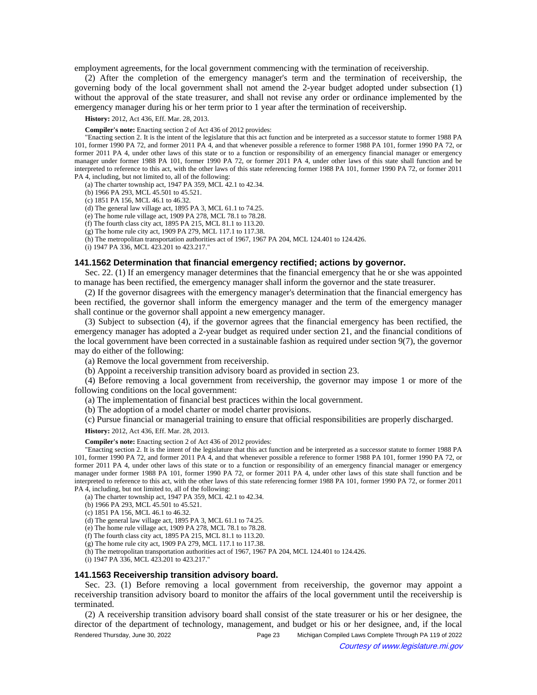employment agreements, for the local government commencing with the termination of receivership.

(2) After the completion of the emergency manager's term and the termination of receivership, the governing body of the local government shall not amend the 2-year budget adopted under subsection (1) without the approval of the state treasurer, and shall not revise any order or ordinance implemented by the emergency manager during his or her term prior to 1 year after the termination of receivership.

**History:** 2012, Act 436, Eff. Mar. 28, 2013.

**Compiler's note:** Enacting section 2 of Act 436 of 2012 provides:

"Enacting section 2. It is the intent of the legislature that this act function and be interpreted as a successor statute to former 1988 PA 101, former 1990 PA 72, and former 2011 PA 4, and that whenever possible a reference to former 1988 PA 101, former 1990 PA 72, or former 2011 PA 4, under other laws of this state or to a function or responsibility of an emergency financial manager or emergency manager under former 1988 PA 101, former 1990 PA 72, or former 2011 PA 4, under other laws of this state shall function and be interpreted to reference to this act, with the other laws of this state referencing former 1988 PA 101, former 1990 PA 72, or former 2011 PA 4, including, but not limited to, all of the following:

(a) The charter township act, 1947 PA 359, MCL 42.1 to 42.34.

(b) 1966 PA 293, MCL 45.501 to 45.521.

(c) 1851 PA 156, MCL 46.1 to 46.32.

(d) The general law village act, 1895 PA 3, MCL 61.1 to 74.25.

(e) The home rule village act, 1909 PA 278, MCL 78.1 to 78.28.

(f) The fourth class city act, 1895 PA 215, MCL 81.1 to 113.20.

(g) The home rule city act, 1909 PA 279, MCL 117.1 to 117.38.

(h) The metropolitan transportation authorities act of 1967, 1967 PA 204, MCL 124.401 to 124.426.

(i) 1947 PA 336, MCL 423.201 to 423.217."

### **141.1562 Determination that financial emergency rectified; actions by governor.**

Sec. 22. (1) If an emergency manager determines that the financial emergency that he or she was appointed to manage has been rectified, the emergency manager shall inform the governor and the state treasurer.

(2) If the governor disagrees with the emergency manager's determination that the financial emergency has been rectified, the governor shall inform the emergency manager and the term of the emergency manager shall continue or the governor shall appoint a new emergency manager.

(3) Subject to subsection (4), if the governor agrees that the financial emergency has been rectified, the emergency manager has adopted a 2-year budget as required under section 21, and the financial conditions of the local government have been corrected in a sustainable fashion as required under section  $9(7)$ , the governor may do either of the following:

(a) Remove the local government from receivership.

(b) Appoint a receivership transition advisory board as provided in section 23.

(4) Before removing a local government from receivership, the governor may impose 1 or more of the following conditions on the local government:

(a) The implementation of financial best practices within the local government.

(b) The adoption of a model charter or model charter provisions.

(c) Pursue financial or managerial training to ensure that official responsibilities are properly discharged.

**History:** 2012, Act 436, Eff. Mar. 28, 2013.

**Compiler's note:** Enacting section 2 of Act 436 of 2012 provides:

"Enacting section 2. It is the intent of the legislature that this act function and be interpreted as a successor statute to former 1988 PA 101, former 1990 PA 72, and former 2011 PA 4, and that whenever possible a reference to former 1988 PA 101, former 1990 PA 72, or former 2011 PA 4, under other laws of this state or to a function or responsibility of an emergency financial manager or emergency manager under former 1988 PA 101, former 1990 PA 72, or former 2011 PA 4, under other laws of this state shall function and be interpreted to reference to this act, with the other laws of this state referencing former 1988 PA 101, former 1990 PA 72, or former 2011 PA 4, including, but not limited to, all of the following:

(a) The charter township act, 1947 PA 359, MCL 42.1 to 42.34.

(b) 1966 PA 293, MCL 45.501 to 45.521.

(c) 1851 PA 156, MCL 46.1 to 46.32.

(d) The general law village act, 1895 PA 3, MCL 61.1 to 74.25.

(e) The home rule village act, 1909 PA 278, MCL 78.1 to 78.28.

(f) The fourth class city act, 1895 PA 215, MCL 81.1 to 113.20.

(g) The home rule city act, 1909 PA 279, MCL 117.1 to 117.38.

(h) The metropolitan transportation authorities act of 1967, 1967 PA 204, MCL 124.401 to 124.426.

(i) 1947 PA 336, MCL 423.201 to 423.217."

### **141.1563 Receivership transition advisory board.**

Sec. 23. (1) Before removing a local government from receivership, the governor may appoint a receivership transition advisory board to monitor the affairs of the local government until the receivership is terminated.

(2) A receivership transition advisory board shall consist of the state treasurer or his or her designee, the director of the department of technology, management, and budget or his or her designee, and, if the local Rendered Thursday, June 30, 2022 Page 23 Michigan Compiled Laws Complete Through PA 119 of 2022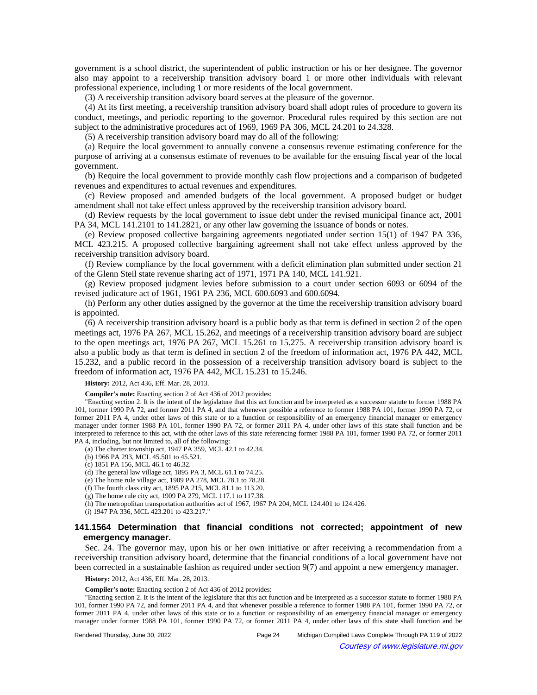government is a school district, the superintendent of public instruction or his or her designee. The governor also may appoint to a receivership transition advisory board 1 or more other individuals with relevant professional experience, including 1 or more residents of the local government.

(3) A receivership transition advisory board serves at the pleasure of the governor.

(4) At its first meeting, a receivership transition advisory board shall adopt rules of procedure to govern its conduct, meetings, and periodic reporting to the governor. Procedural rules required by this section are not subject to the administrative procedures act of 1969, 1969 PA 306, MCL 24.201 to 24.328.

(5) A receivership transition advisory board may do all of the following:

(a) Require the local government to annually convene a consensus revenue estimating conference for the purpose of arriving at a consensus estimate of revenues to be available for the ensuing fiscal year of the local government.

(b) Require the local government to provide monthly cash flow projections and a comparison of budgeted revenues and expenditures to actual revenues and expenditures.

(c) Review proposed and amended budgets of the local government. A proposed budget or budget amendment shall not take effect unless approved by the receivership transition advisory board.

(d) Review requests by the local government to issue debt under the revised municipal finance act, 2001 PA 34, MCL 141.2101 to 141.2821, or any other law governing the issuance of bonds or notes.

(e) Review proposed collective bargaining agreements negotiated under section 15(1) of 1947 PA 336, MCL 423.215. A proposed collective bargaining agreement shall not take effect unless approved by the receivership transition advisory board.

(f) Review compliance by the local government with a deficit elimination plan submitted under section 21 of the Glenn Steil state revenue sharing act of 1971, 1971 PA 140, MCL 141.921.

(g) Review proposed judgment levies before submission to a court under section 6093 or 6094 of the revised judicature act of 1961, 1961 PA 236, MCL 600.6093 and 600.6094.

(h) Perform any other duties assigned by the governor at the time the receivership transition advisory board is appointed.

(6) A receivership transition advisory board is a public body as that term is defined in section 2 of the open meetings act, 1976 PA 267, MCL 15.262, and meetings of a receivership transition advisory board are subject to the open meetings act, 1976 PA 267, MCL 15.261 to 15.275. A receivership transition advisory board is also a public body as that term is defined in section 2 of the freedom of information act, 1976 PA 442, MCL 15.232, and a public record in the possession of a receivership transition advisory board is subject to the freedom of information act, 1976 PA 442, MCL 15.231 to 15.246.

**History:** 2012, Act 436, Eff. Mar. 28, 2013.

**Compiler's note:** Enacting section 2 of Act 436 of 2012 provides:

"Enacting section 2. It is the intent of the legislature that this act function and be interpreted as a successor statute to former 1988 PA 101, former 1990 PA 72, and former 2011 PA 4, and that whenever possible a reference to former 1988 PA 101, former 1990 PA 72, or former 2011 PA 4, under other laws of this state or to a function or responsibility of an emergency financial manager or emergency manager under former 1988 PA 101, former 1990 PA 72, or former 2011 PA 4, under other laws of this state shall function and be interpreted to reference to this act, with the other laws of this state referencing former 1988 PA 101, former 1990 PA 72, or former 2011 PA 4, including, but not limited to, all of the following:

(a) The charter township act, 1947 PA 359, MCL 42.1 to 42.34.

(b) 1966 PA 293, MCL 45.501 to 45.521.

(c) 1851 PA 156, MCL 46.1 to 46.32.

(d) The general law village act, 1895 PA 3, MCL 61.1 to 74.25.

(e) The home rule village act, 1909 PA 278, MCL 78.1 to 78.28.

(f) The fourth class city act, 1895 PA 215, MCL 81.1 to 113.20.

(g) The home rule city act, 1909 PA 279, MCL 117.1 to 117.38.

(h) The metropolitan transportation authorities act of 1967, 1967 PA 204, MCL 124.401 to 124.426.

(i) 1947 PA 336, MCL 423.201 to 423.217."

## **141.1564 Determination that financial conditions not corrected; appointment of new emergency manager.**

Sec. 24. The governor may, upon his or her own initiative or after receiving a recommendation from a receivership transition advisory board, determine that the financial conditions of a local government have not been corrected in a sustainable fashion as required under section 9(7) and appoint a new emergency manager.

**History:** 2012, Act 436, Eff. Mar. 28, 2013.

**Compiler's note:** Enacting section 2 of Act 436 of 2012 provides:

"Enacting section 2. It is the intent of the legislature that this act function and be interpreted as a successor statute to former 1988 PA 101, former 1990 PA 72, and former 2011 PA 4, and that whenever possible a reference to former 1988 PA 101, former 1990 PA 72, or former 2011 PA 4, under other laws of this state or to a function or responsibility of an emergency financial manager or emergency manager under former 1988 PA 101, former 1990 PA 72, or former 2011 PA 4, under other laws of this state shall function and be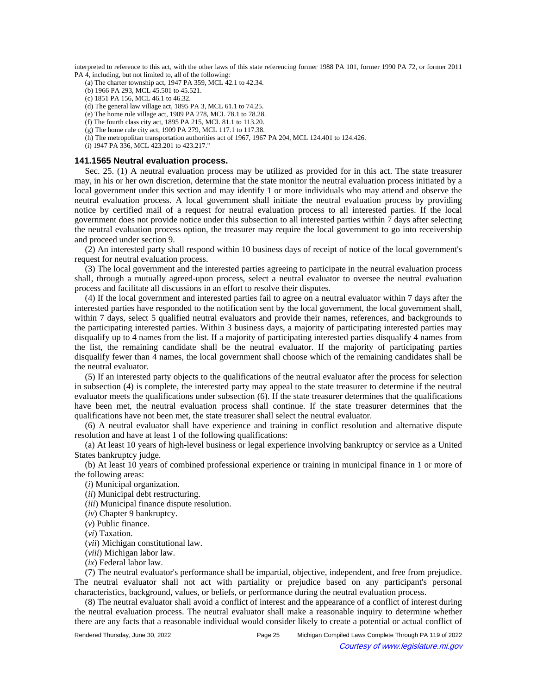interpreted to reference to this act, with the other laws of this state referencing former 1988 PA 101, former 1990 PA 72, or former 2011 PA 4, including, but not limited to, all of the following:

(a) The charter township act, 1947 PA 359, MCL 42.1 to 42.34.

(b) 1966 PA 293, MCL 45.501 to 45.521.

(c) 1851 PA 156, MCL 46.1 to 46.32.

(d) The general law village act, 1895 PA 3, MCL 61.1 to 74.25.

(e) The home rule village act, 1909 PA 278, MCL 78.1 to 78.28.

- (f) The fourth class city act, 1895 PA 215, MCL 81.1 to 113.20. (g) The home rule city act, 1909 PA 279, MCL 117.1 to 117.38.
- 

(h) The metropolitan transportation authorities act of 1967, 1967 PA 204, MCL 124.401 to 124.426.

(i) 1947 PA 336, MCL 423.201 to 423.217."

### **141.1565 Neutral evaluation process.**

Sec. 25. (1) A neutral evaluation process may be utilized as provided for in this act. The state treasurer may, in his or her own discretion, determine that the state monitor the neutral evaluation process initiated by a local government under this section and may identify 1 or more individuals who may attend and observe the neutral evaluation process. A local government shall initiate the neutral evaluation process by providing notice by certified mail of a request for neutral evaluation process to all interested parties. If the local government does not provide notice under this subsection to all interested parties within 7 days after selecting the neutral evaluation process option, the treasurer may require the local government to go into receivership and proceed under section 9.

(2) An interested party shall respond within 10 business days of receipt of notice of the local government's request for neutral evaluation process.

(3) The local government and the interested parties agreeing to participate in the neutral evaluation process shall, through a mutually agreed-upon process, select a neutral evaluator to oversee the neutral evaluation process and facilitate all discussions in an effort to resolve their disputes.

(4) If the local government and interested parties fail to agree on a neutral evaluator within 7 days after the interested parties have responded to the notification sent by the local government, the local government shall, within 7 days, select 5 qualified neutral evaluators and provide their names, references, and backgrounds to the participating interested parties. Within 3 business days, a majority of participating interested parties may disqualify up to 4 names from the list. If a majority of participating interested parties disqualify 4 names from the list, the remaining candidate shall be the neutral evaluator. If the majority of participating parties disqualify fewer than 4 names, the local government shall choose which of the remaining candidates shall be the neutral evaluator.

(5) If an interested party objects to the qualifications of the neutral evaluator after the process for selection in subsection (4) is complete, the interested party may appeal to the state treasurer to determine if the neutral evaluator meets the qualifications under subsection (6). If the state treasurer determines that the qualifications have been met, the neutral evaluation process shall continue. If the state treasurer determines that the qualifications have not been met, the state treasurer shall select the neutral evaluator.

(6) A neutral evaluator shall have experience and training in conflict resolution and alternative dispute resolution and have at least 1 of the following qualifications:

(a) At least 10 years of high-level business or legal experience involving bankruptcy or service as a United States bankruptcy judge.

(b) At least 10 years of combined professional experience or training in municipal finance in 1 or more of the following areas:

(*i*) Municipal organization.

(*ii*) Municipal debt restructuring.

(*iii*) Municipal finance dispute resolution.

(*iv*) Chapter 9 bankruptcy.

(*v*) Public finance.

(*vi*) Taxation.

(*vii*) Michigan constitutional law.

(*viii*) Michigan labor law.

(*ix*) Federal labor law.

(7) The neutral evaluator's performance shall be impartial, objective, independent, and free from prejudice. The neutral evaluator shall not act with partiality or prejudice based on any participant's personal characteristics, background, values, or beliefs, or performance during the neutral evaluation process.

(8) The neutral evaluator shall avoid a conflict of interest and the appearance of a conflict of interest during the neutral evaluation process. The neutral evaluator shall make a reasonable inquiry to determine whether there are any facts that a reasonable individual would consider likely to create a potential or actual conflict of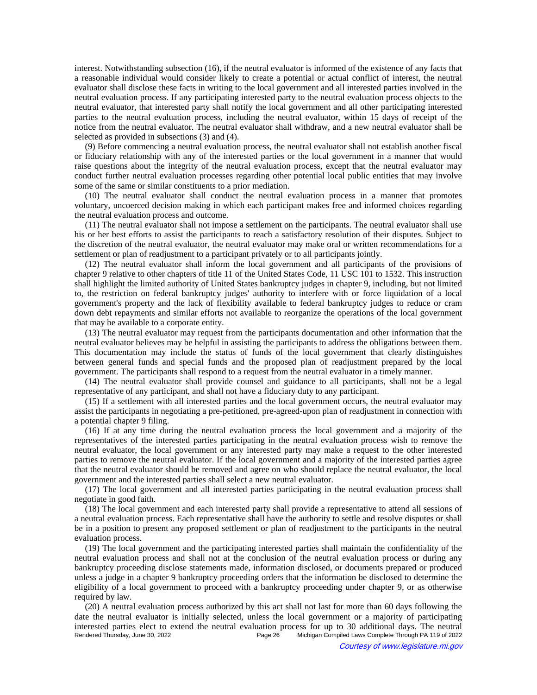interest. Notwithstanding subsection (16), if the neutral evaluator is informed of the existence of any facts that a reasonable individual would consider likely to create a potential or actual conflict of interest, the neutral evaluator shall disclose these facts in writing to the local government and all interested parties involved in the neutral evaluation process. If any participating interested party to the neutral evaluation process objects to the neutral evaluator, that interested party shall notify the local government and all other participating interested parties to the neutral evaluation process, including the neutral evaluator, within 15 days of receipt of the notice from the neutral evaluator. The neutral evaluator shall withdraw, and a new neutral evaluator shall be selected as provided in subsections (3) and (4).

(9) Before commencing a neutral evaluation process, the neutral evaluator shall not establish another fiscal or fiduciary relationship with any of the interested parties or the local government in a manner that would raise questions about the integrity of the neutral evaluation process, except that the neutral evaluator may conduct further neutral evaluation processes regarding other potential local public entities that may involve some of the same or similar constituents to a prior mediation.

(10) The neutral evaluator shall conduct the neutral evaluation process in a manner that promotes voluntary, uncoerced decision making in which each participant makes free and informed choices regarding the neutral evaluation process and outcome.

(11) The neutral evaluator shall not impose a settlement on the participants. The neutral evaluator shall use his or her best efforts to assist the participants to reach a satisfactory resolution of their disputes. Subject to the discretion of the neutral evaluator, the neutral evaluator may make oral or written recommendations for a settlement or plan of readjustment to a participant privately or to all participants jointly.

(12) The neutral evaluator shall inform the local government and all participants of the provisions of chapter 9 relative to other chapters of title 11 of the United States Code, 11 USC 101 to 1532. This instruction shall highlight the limited authority of United States bankruptcy judges in chapter 9, including, but not limited to, the restriction on federal bankruptcy judges' authority to interfere with or force liquidation of a local government's property and the lack of flexibility available to federal bankruptcy judges to reduce or cram down debt repayments and similar efforts not available to reorganize the operations of the local government that may be available to a corporate entity.

(13) The neutral evaluator may request from the participants documentation and other information that the neutral evaluator believes may be helpful in assisting the participants to address the obligations between them. This documentation may include the status of funds of the local government that clearly distinguishes between general funds and special funds and the proposed plan of readjustment prepared by the local government. The participants shall respond to a request from the neutral evaluator in a timely manner.

(14) The neutral evaluator shall provide counsel and guidance to all participants, shall not be a legal representative of any participant, and shall not have a fiduciary duty to any participant.

(15) If a settlement with all interested parties and the local government occurs, the neutral evaluator may assist the participants in negotiating a pre-petitioned, pre-agreed-upon plan of readjustment in connection with a potential chapter 9 filing.

(16) If at any time during the neutral evaluation process the local government and a majority of the representatives of the interested parties participating in the neutral evaluation process wish to remove the neutral evaluator, the local government or any interested party may make a request to the other interested parties to remove the neutral evaluator. If the local government and a majority of the interested parties agree that the neutral evaluator should be removed and agree on who should replace the neutral evaluator, the local government and the interested parties shall select a new neutral evaluator.

(17) The local government and all interested parties participating in the neutral evaluation process shall negotiate in good faith.

(18) The local government and each interested party shall provide a representative to attend all sessions of a neutral evaluation process. Each representative shall have the authority to settle and resolve disputes or shall be in a position to present any proposed settlement or plan of readjustment to the participants in the neutral evaluation process.

(19) The local government and the participating interested parties shall maintain the confidentiality of the neutral evaluation process and shall not at the conclusion of the neutral evaluation process or during any bankruptcy proceeding disclose statements made, information disclosed, or documents prepared or produced unless a judge in a chapter 9 bankruptcy proceeding orders that the information be disclosed to determine the eligibility of a local government to proceed with a bankruptcy proceeding under chapter 9, or as otherwise required by law.

(20) A neutral evaluation process authorized by this act shall not last for more than 60 days following the date the neutral evaluator is initially selected, unless the local government or a majority of participating interested parties elect to extend the neutral evaluation process for up to 30 additional days. The neutral Michigan Compiled Laws Complete Through PA 119 of 2022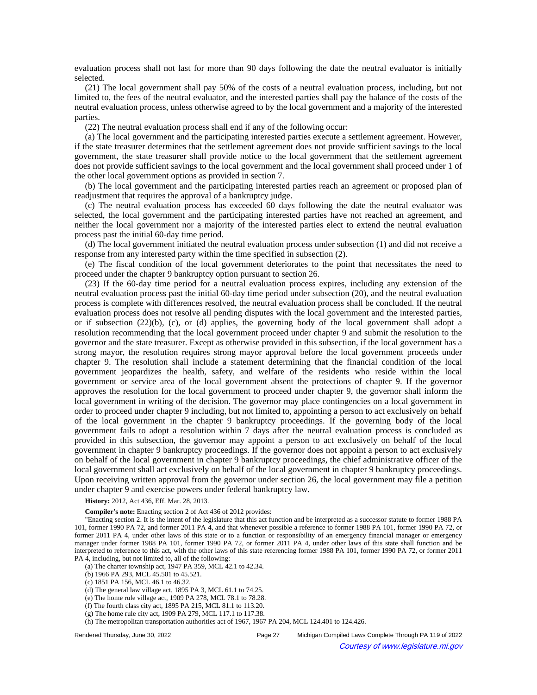evaluation process shall not last for more than 90 days following the date the neutral evaluator is initially selected.

(21) The local government shall pay 50% of the costs of a neutral evaluation process, including, but not limited to, the fees of the neutral evaluator, and the interested parties shall pay the balance of the costs of the neutral evaluation process, unless otherwise agreed to by the local government and a majority of the interested parties.

(22) The neutral evaluation process shall end if any of the following occur:

(a) The local government and the participating interested parties execute a settlement agreement. However, if the state treasurer determines that the settlement agreement does not provide sufficient savings to the local government, the state treasurer shall provide notice to the local government that the settlement agreement does not provide sufficient savings to the local government and the local government shall proceed under 1 of the other local government options as provided in section 7.

(b) The local government and the participating interested parties reach an agreement or proposed plan of readjustment that requires the approval of a bankruptcy judge.

(c) The neutral evaluation process has exceeded 60 days following the date the neutral evaluator was selected, the local government and the participating interested parties have not reached an agreement, and neither the local government nor a majority of the interested parties elect to extend the neutral evaluation process past the initial 60-day time period.

(d) The local government initiated the neutral evaluation process under subsection (1) and did not receive a response from any interested party within the time specified in subsection (2).

(e) The fiscal condition of the local government deteriorates to the point that necessitates the need to proceed under the chapter 9 bankruptcy option pursuant to section 26.

(23) If the 60-day time period for a neutral evaluation process expires, including any extension of the neutral evaluation process past the initial 60-day time period under subsection (20), and the neutral evaluation process is complete with differences resolved, the neutral evaluation process shall be concluded. If the neutral evaluation process does not resolve all pending disputes with the local government and the interested parties, or if subsection (22)(b), (c), or (d) applies, the governing body of the local government shall adopt a resolution recommending that the local government proceed under chapter 9 and submit the resolution to the governor and the state treasurer. Except as otherwise provided in this subsection, if the local government has a strong mayor, the resolution requires strong mayor approval before the local government proceeds under chapter 9. The resolution shall include a statement determining that the financial condition of the local government jeopardizes the health, safety, and welfare of the residents who reside within the local government or service area of the local government absent the protections of chapter 9. If the governor approves the resolution for the local government to proceed under chapter 9, the governor shall inform the local government in writing of the decision. The governor may place contingencies on a local government in order to proceed under chapter 9 including, but not limited to, appointing a person to act exclusively on behalf of the local government in the chapter 9 bankruptcy proceedings. If the governing body of the local government fails to adopt a resolution within 7 days after the neutral evaluation process is concluded as provided in this subsection, the governor may appoint a person to act exclusively on behalf of the local government in chapter 9 bankruptcy proceedings. If the governor does not appoint a person to act exclusively on behalf of the local government in chapter 9 bankruptcy proceedings, the chief administrative officer of the local government shall act exclusively on behalf of the local government in chapter 9 bankruptcy proceedings. Upon receiving written approval from the governor under section 26, the local government may file a petition under chapter 9 and exercise powers under federal bankruptcy law.

**History:** 2012, Act 436, Eff. Mar. 28, 2013.

**Compiler's note:** Enacting section 2 of Act 436 of 2012 provides:

"Enacting section 2. It is the intent of the legislature that this act function and be interpreted as a successor statute to former 1988 PA 101, former 1990 PA 72, and former 2011 PA 4, and that whenever possible a reference to former 1988 PA 101, former 1990 PA 72, or former 2011 PA 4, under other laws of this state or to a function or responsibility of an emergency financial manager or emergency manager under former 1988 PA 101, former 1990 PA 72, or former 2011 PA 4, under other laws of this state shall function and be interpreted to reference to this act, with the other laws of this state referencing former 1988 PA 101, former 1990 PA 72, or former 2011 PA 4, including, but not limited to, all of the following:

(a) The charter township act, 1947 PA 359, MCL 42.1 to 42.34.

(b) 1966 PA 293, MCL 45.501 to 45.521.

(c) 1851 PA 156, MCL 46.1 to 46.32.

(d) The general law village act, 1895 PA 3, MCL 61.1 to 74.25.

(e) The home rule village act, 1909 PA 278, MCL 78.1 to 78.28.

(f) The fourth class city act, 1895 PA 215, MCL 81.1 to 113.20.

(g) The home rule city act, 1909 PA 279, MCL 117.1 to 117.38.

(h) The metropolitan transportation authorities act of 1967, 1967 PA 204, MCL 124.401 to 124.426.

Rendered Thursday, June 30, 2022 Page 27 Michigan Compiled Laws Complete Through PA 119 of 2022

Courtesy of www.legislature.mi.gov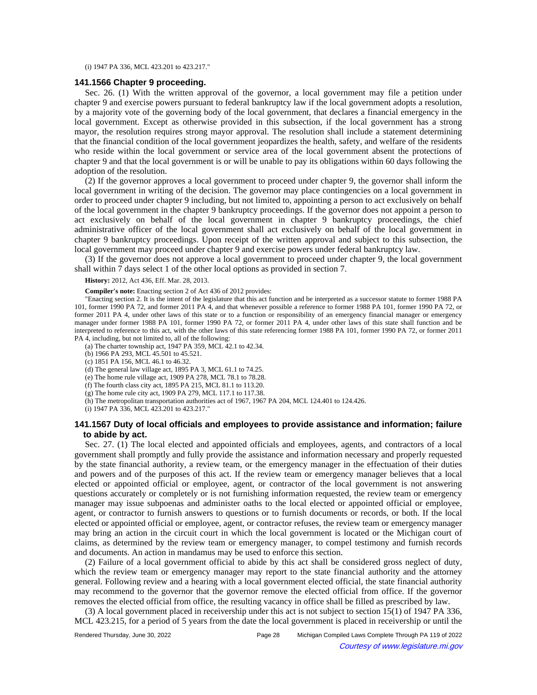(i) 1947 PA 336, MCL 423.201 to 423.217."

### **141.1566 Chapter 9 proceeding.**

Sec. 26. (1) With the written approval of the governor, a local government may file a petition under chapter 9 and exercise powers pursuant to federal bankruptcy law if the local government adopts a resolution, by a majority vote of the governing body of the local government, that declares a financial emergency in the local government. Except as otherwise provided in this subsection, if the local government has a strong mayor, the resolution requires strong mayor approval. The resolution shall include a statement determining that the financial condition of the local government jeopardizes the health, safety, and welfare of the residents who reside within the local government or service area of the local government absent the protections of chapter 9 and that the local government is or will be unable to pay its obligations within 60 days following the adoption of the resolution.

(2) If the governor approves a local government to proceed under chapter 9, the governor shall inform the local government in writing of the decision. The governor may place contingencies on a local government in order to proceed under chapter 9 including, but not limited to, appointing a person to act exclusively on behalf of the local government in the chapter 9 bankruptcy proceedings. If the governor does not appoint a person to act exclusively on behalf of the local government in chapter 9 bankruptcy proceedings, the chief administrative officer of the local government shall act exclusively on behalf of the local government in chapter 9 bankruptcy proceedings. Upon receipt of the written approval and subject to this subsection, the local government may proceed under chapter 9 and exercise powers under federal bankruptcy law.

(3) If the governor does not approve a local government to proceed under chapter 9, the local government shall within 7 days select 1 of the other local options as provided in section 7.

**History:** 2012, Act 436, Eff. Mar. 28, 2013.

**Compiler's note:** Enacting section 2 of Act 436 of 2012 provides:

"Enacting section 2. It is the intent of the legislature that this act function and be interpreted as a successor statute to former 1988 PA 101, former 1990 PA 72, and former 2011 PA 4, and that whenever possible a reference to former 1988 PA 101, former 1990 PA 72, or former 2011 PA 4, under other laws of this state or to a function or responsibility of an emergency financial manager or emergency manager under former 1988 PA 101, former 1990 PA 72, or former 2011 PA 4, under other laws of this state shall function and be interpreted to reference to this act, with the other laws of this state referencing former 1988 PA 101, former 1990 PA 72, or former 2011 PA 4, including, but not limited to, all of the following:

- (a) The charter township act, 1947 PA 359, MCL 42.1 to 42.34.
- (b) 1966 PA 293, MCL 45.501 to 45.521.
- (c) 1851 PA 156, MCL 46.1 to 46.32.

(d) The general law village act, 1895 PA 3, MCL 61.1 to 74.25.

- (e) The home rule village act, 1909 PA 278, MCL 78.1 to 78.28.
- (f) The fourth class city act, 1895 PA 215, MCL 81.1 to 113.20.
- (g) The home rule city act, 1909 PA 279, MCL 117.1 to 117.38.
- (h) The metropolitan transportation authorities act of 1967, 1967 PA 204, MCL 124.401 to 124.426.

(i) 1947 PA 336, MCL 423.201 to 423.217."

## **141.1567 Duty of local officials and employees to provide assistance and information; failure to abide by act.**

Sec. 27. (1) The local elected and appointed officials and employees, agents, and contractors of a local government shall promptly and fully provide the assistance and information necessary and properly requested by the state financial authority, a review team, or the emergency manager in the effectuation of their duties and powers and of the purposes of this act. If the review team or emergency manager believes that a local elected or appointed official or employee, agent, or contractor of the local government is not answering questions accurately or completely or is not furnishing information requested, the review team or emergency manager may issue subpoenas and administer oaths to the local elected or appointed official or employee, agent, or contractor to furnish answers to questions or to furnish documents or records, or both. If the local elected or appointed official or employee, agent, or contractor refuses, the review team or emergency manager may bring an action in the circuit court in which the local government is located or the Michigan court of claims, as determined by the review team or emergency manager, to compel testimony and furnish records and documents. An action in mandamus may be used to enforce this section.

(2) Failure of a local government official to abide by this act shall be considered gross neglect of duty, which the review team or emergency manager may report to the state financial authority and the attorney general. Following review and a hearing with a local government elected official, the state financial authority may recommend to the governor that the governor remove the elected official from office. If the governor removes the elected official from office, the resulting vacancy in office shall be filled as prescribed by law.

(3) A local government placed in receivership under this act is not subject to section 15(1) of 1947 PA 336, MCL 423.215, for a period of 5 years from the date the local government is placed in receivership or until the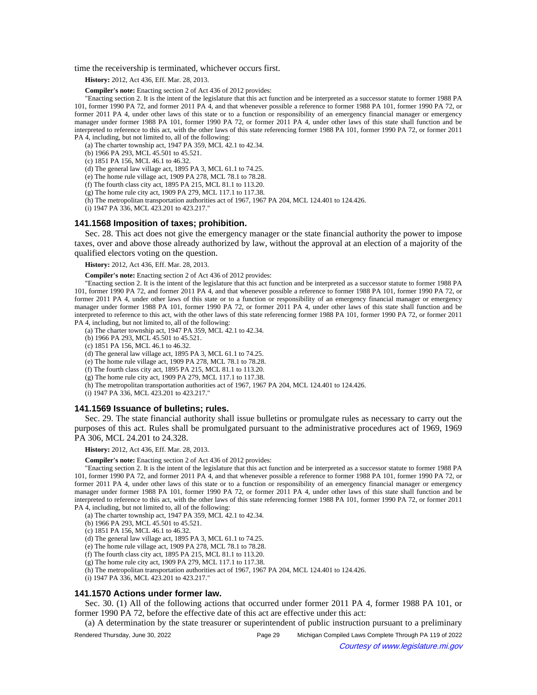time the receivership is terminated, whichever occurs first.

**History:** 2012, Act 436, Eff. Mar. 28, 2013.

**Compiler's note:** Enacting section 2 of Act 436 of 2012 provides:

"Enacting section 2. It is the intent of the legislature that this act function and be interpreted as a successor statute to former 1988 PA 101, former 1990 PA 72, and former 2011 PA 4, and that whenever possible a reference to former 1988 PA 101, former 1990 PA 72, or former 2011 PA 4, under other laws of this state or to a function or responsibility of an emergency financial manager or emergency manager under former 1988 PA 101, former 1990 PA 72, or former 2011 PA 4, under other laws of this state shall function and be interpreted to reference to this act, with the other laws of this state referencing former 1988 PA 101, former 1990 PA 72, or former 2011 PA 4, including, but not limited to, all of the following:

(a) The charter township act, 1947 PA 359, MCL 42.1 to 42.34.

(b) 1966 PA 293, MCL 45.501 to 45.521.

(c) 1851 PA 156, MCL 46.1 to 46.32.

(d) The general law village act, 1895 PA 3, MCL 61.1 to 74.25.

(e) The home rule village act, 1909 PA 278, MCL 78.1 to 78.28.

(f) The fourth class city act, 1895 PA 215, MCL 81.1 to 113.20.

(g) The home rule city act, 1909 PA 279, MCL 117.1 to 117.38.

(h) The metropolitan transportation authorities act of 1967, 1967 PA 204, MCL 124.401 to 124.426.

(i) 1947 PA 336, MCL 423.201 to 423.217."

#### **141.1568 Imposition of taxes; prohibition.**

Sec. 28. This act does not give the emergency manager or the state financial authority the power to impose taxes, over and above those already authorized by law, without the approval at an election of a majority of the qualified electors voting on the question.

**History:** 2012, Act 436, Eff. Mar. 28, 2013.

**Compiler's note:** Enacting section 2 of Act 436 of 2012 provides:

"Enacting section 2. It is the intent of the legislature that this act function and be interpreted as a successor statute to former 1988 PA 101, former 1990 PA 72, and former 2011 PA 4, and that whenever possible a reference to former 1988 PA 101, former 1990 PA 72, or former 2011 PA 4, under other laws of this state or to a function or responsibility of an emergency financial manager or emergency manager under former 1988 PA 101, former 1990 PA 72, or former 2011 PA 4, under other laws of this state shall function and be interpreted to reference to this act, with the other laws of this state referencing former 1988 PA 101, former 1990 PA 72, or former 2011 PA 4, including, but not limited to, all of the following:

(a) The charter township act, 1947 PA 359, MCL 42.1 to 42.34.

(b) 1966 PA 293, MCL 45.501 to 45.521.

(c) 1851 PA 156, MCL 46.1 to 46.32.

(d) The general law village act, 1895 PA 3, MCL 61.1 to 74.25.

(e) The home rule village act, 1909 PA 278, MCL 78.1 to 78.28.

(f) The fourth class city act, 1895 PA 215, MCL 81.1 to 113.20.

(g) The home rule city act, 1909 PA 279, MCL 117.1 to 117.38.

(h) The metropolitan transportation authorities act of 1967, 1967 PA 204, MCL 124.401 to 124.426.

(i) 1947 PA 336, MCL 423.201 to 423.217."

### **141.1569 Issuance of bulletins; rules.**

Sec. 29. The state financial authority shall issue bulletins or promulgate rules as necessary to carry out the purposes of this act. Rules shall be promulgated pursuant to the administrative procedures act of 1969, 1969 PA 306, MCL 24.201 to 24.328.

**History:** 2012, Act 436, Eff. Mar. 28, 2013.

**Compiler's note:** Enacting section 2 of Act 436 of 2012 provides:

"Enacting section 2. It is the intent of the legislature that this act function and be interpreted as a successor statute to former 1988 PA 101, former 1990 PA 72, and former 2011 PA 4, and that whenever possible a reference to former 1988 PA 101, former 1990 PA 72, or former 2011 PA 4, under other laws of this state or to a function or responsibility of an emergency financial manager or emergency manager under former 1988 PA 101, former 1990 PA 72, or former 2011 PA 4, under other laws of this state shall function and be interpreted to reference to this act, with the other laws of this state referencing former 1988 PA 101, former 1990 PA 72, or former 2011 PA 4, including, but not limited to, all of the following:

(a) The charter township act, 1947 PA 359, MCL  $42.1$  to 42.34.

(b) 1966 PA 293, MCL 45.501 to 45.521.

(c) 1851 PA 156, MCL 46.1 to 46.32.

(d) The general law village act, 1895 PA 3, MCL 61.1 to 74.25.

(e) The home rule village act, 1909 PA 278, MCL 78.1 to 78.28.

(f) The fourth class city act, 1895 PA 215, MCL 81.1 to 113.20.

(g) The home rule city act, 1909 PA 279, MCL 117.1 to 117.38.

(h) The metropolitan transportation authorities act of 1967, 1967 PA 204, MCL 124.401 to 124.426.

(i) 1947 PA 336, MCL 423.201 to 423.217."

### **141.1570 Actions under former law.**

Sec. 30. (1) All of the following actions that occurred under former 2011 PA 4, former 1988 PA 101, or former 1990 PA 72, before the effective date of this act are effective under this act:

(a) A determination by the state treasurer or superintendent of public instruction pursuant to a preliminary

Rendered Thursday, June 30, 2022 Page 29 Michigan Compiled Laws Complete Through PA 119 of 2022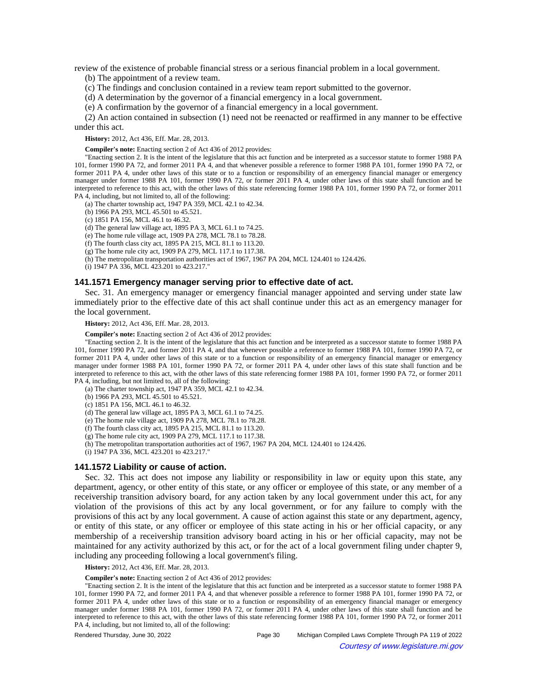review of the existence of probable financial stress or a serious financial problem in a local government.

(b) The appointment of a review team.

(c) The findings and conclusion contained in a review team report submitted to the governor.

(d) A determination by the governor of a financial emergency in a local government.

(e) A confirmation by the governor of a financial emergency in a local government.

(2) An action contained in subsection (1) need not be reenacted or reaffirmed in any manner to be effective under this act.

**History:** 2012, Act 436, Eff. Mar. 28, 2013.

**Compiler's note:** Enacting section 2 of Act 436 of 2012 provides:

"Enacting section 2. It is the intent of the legislature that this act function and be interpreted as a successor statute to former 1988 PA 101, former 1990 PA 72, and former 2011 PA 4, and that whenever possible a reference to former 1988 PA 101, former 1990 PA 72, or former 2011 PA 4, under other laws of this state or to a function or responsibility of an emergency financial manager or emergency manager under former 1988 PA 101, former 1990 PA 72, or former 2011 PA 4, under other laws of this state shall function and be interpreted to reference to this act, with the other laws of this state referencing former 1988 PA 101, former 1990 PA 72, or former 2011 PA 4, including, but not limited to, all of the following:

(a) The charter township act, 1947 PA 359, MCL 42.1 to 42.34.

(b) 1966 PA 293, MCL 45.501 to 45.521.

(c) 1851 PA 156, MCL 46.1 to 46.32.

(d) The general law village act, 1895 PA 3, MCL  $61.1$  to 74.25.

(e) The home rule village act, 1909 PA 278, MCL 78.1 to 78.28. (f) The fourth class city act, 1895 PA 215, MCL 81.1 to 113.20.

(g) The home rule city act, 1909 PA 279, MCL 117.1 to 117.38.

(h) The metropolitan transportation authorities act of 1967, 1967 PA 204, MCL 124.401 to 124.426.

(i) 1947 PA 336, MCL 423.201 to 423.217."

### **141.1571 Emergency manager serving prior to effective date of act.**

Sec. 31. An emergency manager or emergency financial manager appointed and serving under state law immediately prior to the effective date of this act shall continue under this act as an emergency manager for the local government.

**History:** 2012, Act 436, Eff. Mar. 28, 2013.

**Compiler's note:** Enacting section 2 of Act 436 of 2012 provides:

"Enacting section 2. It is the intent of the legislature that this act function and be interpreted as a successor statute to former 1988 PA 101, former 1990 PA 72, and former 2011 PA 4, and that whenever possible a reference to former 1988 PA 101, former 1990 PA 72, or former 2011 PA 4, under other laws of this state or to a function or responsibility of an emergency financial manager or emergency manager under former 1988 PA 101, former 1990 PA 72, or former 2011 PA 4, under other laws of this state shall function and be interpreted to reference to this act, with the other laws of this state referencing former 1988 PA 101, former 1990 PA 72, or former 2011 PA 4, including, but not limited to, all of the following:

(a) The charter township act, 1947 PA 359, MCL 42.1 to 42.34.

(b) 1966 PA 293, MCL 45.501 to 45.521.

(c) 1851 PA 156, MCL 46.1 to 46.32.

(d) The general law village act, 1895 PA 3, MCL 61.1 to 74.25.

(e) The home rule village act, 1909 PA 278, MCL 78.1 to 78.28.

(f) The fourth class city act, 1895 PA 215, MCL 81.1 to 113.20.

(g) The home rule city act, 1909 PA 279, MCL 117.1 to 117.38.

(h) The metropolitan transportation authorities act of 1967, 1967 PA 204, MCL 124.401 to 124.426.

(i) 1947 PA 336, MCL 423.201 to 423.217."

#### **141.1572 Liability or cause of action.**

Sec. 32. This act does not impose any liability or responsibility in law or equity upon this state, any department, agency, or other entity of this state, or any officer or employee of this state, or any member of a receivership transition advisory board, for any action taken by any local government under this act, for any violation of the provisions of this act by any local government, or for any failure to comply with the provisions of this act by any local government. A cause of action against this state or any department, agency, or entity of this state, or any officer or employee of this state acting in his or her official capacity, or any membership of a receivership transition advisory board acting in his or her official capacity, may not be maintained for any activity authorized by this act, or for the act of a local government filing under chapter 9, including any proceeding following a local government's filing.

**History:** 2012, Act 436, Eff. Mar. 28, 2013.

**Compiler's note:** Enacting section 2 of Act 436 of 2012 provides:

"Enacting section 2. It is the intent of the legislature that this act function and be interpreted as a successor statute to former 1988 PA 101, former 1990 PA 72, and former 2011 PA 4, and that whenever possible a reference to former 1988 PA 101, former 1990 PA 72, or former 2011 PA 4, under other laws of this state or to a function or responsibility of an emergency financial manager or emergency manager under former 1988 PA 101, former 1990 PA 72, or former 2011 PA 4, under other laws of this state shall function and be interpreted to reference to this act, with the other laws of this state referencing former 1988 PA 101, former 1990 PA 72, or former 2011 PA 4, including, but not limited to, all of the following:

Rendered Thursday, June 30, 2022 Page 30 Michigan Compiled Laws Complete Through PA 119 of 2022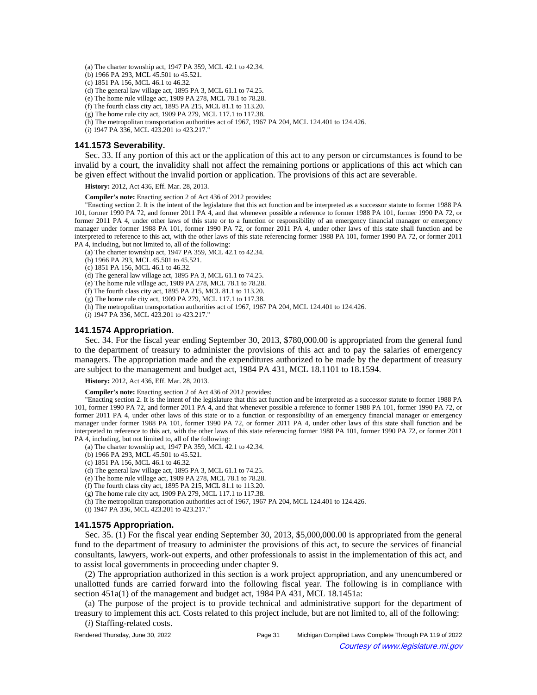(a) The charter township act, 1947 PA 359, MCL 42.1 to 42.34.

- (b) 1966 PA 293, MCL 45.501 to 45.521.
- (c) 1851 PA 156, MCL 46.1 to 46.32.
- (d) The general law village act, 1895 PA 3, MCL 61.1 to 74.25.
- (e) The home rule village act, 1909 PA 278, MCL 78.1 to 78.28.
- (f) The fourth class city act, 1895 PA 215, MCL 81.1 to 113.20.
- (g) The home rule city act, 1909 PA 279, MCL 117.1 to 117.38.
- (h) The metropolitan transportation authorities act of 1967, 1967 PA 204, MCL 124.401 to 124.426.
- (i) 1947 PA 336, MCL 423.201 to 423.217."

### **141.1573 Severability.**

Sec. 33. If any portion of this act or the application of this act to any person or circumstances is found to be invalid by a court, the invalidity shall not affect the remaining portions or applications of this act which can be given effect without the invalid portion or application. The provisions of this act are severable.

**History:** 2012, Act 436, Eff. Mar. 28, 2013.

**Compiler's note:** Enacting section 2 of Act 436 of 2012 provides:

"Enacting section 2. It is the intent of the legislature that this act function and be interpreted as a successor statute to former 1988 PA 101, former 1990 PA 72, and former 2011 PA 4, and that whenever possible a reference to former 1988 PA 101, former 1990 PA 72, or former 2011 PA 4, under other laws of this state or to a function or responsibility of an emergency financial manager or emergency manager under former 1988 PA 101, former 1990 PA 72, or former 2011 PA 4, under other laws of this state shall function and be interpreted to reference to this act, with the other laws of this state referencing former 1988 PA 101, former 1990 PA 72, or former 2011 PA 4, including, but not limited to, all of the following:

(a) The charter township act, 1947 PA 359, MCL 42.1 to 42.34.

(b) 1966 PA 293, MCL 45.501 to 45.521.

(c) 1851 PA 156, MCL 46.1 to 46.32.

(d) The general law village act, 1895 PA 3, MCL 61.1 to 74.25.

(e) The home rule village act, 1909 PA 278, MCL 78.1 to 78.28.

(f) The fourth class city act, 1895 PA 215, MCL 81.1 to 113.20.

(g) The home rule city act, 1909 PA 279, MCL 117.1 to 117.38.

- (h) The metropolitan transportation authorities act of 1967, 1967 PA 204, MCL 124.401 to 124.426.
- (i) 1947 PA 336, MCL 423.201 to 423.217."

### **141.1574 Appropriation.**

Sec. 34. For the fiscal year ending September 30, 2013, \$780,000.00 is appropriated from the general fund to the department of treasury to administer the provisions of this act and to pay the salaries of emergency managers. The appropriation made and the expenditures authorized to be made by the department of treasury are subject to the management and budget act, 1984 PA 431, MCL 18.1101 to 18.1594.

**History:** 2012, Act 436, Eff. Mar. 28, 2013.

**Compiler's note:** Enacting section 2 of Act 436 of 2012 provides:

"Enacting section 2. It is the intent of the legislature that this act function and be interpreted as a successor statute to former 1988 PA 101, former 1990 PA 72, and former 2011 PA 4, and that whenever possible a reference to former 1988 PA 101, former 1990 PA 72, or former 2011 PA 4, under other laws of this state or to a function or responsibility of an emergency financial manager or emergency manager under former 1988 PA 101, former 1990 PA 72, or former 2011 PA 4, under other laws of this state shall function and be interpreted to reference to this act, with the other laws of this state referencing former 1988 PA 101, former 1990 PA 72, or former 2011 PA 4, including, but not limited to, all of the following:

- (a) The charter township act, 1947 PA 359, MCL 42.1 to 42.34.
- (b) 1966 PA 293, MCL 45.501 to 45.521.

(c) 1851 PA 156, MCL 46.1 to 46.32.

(d) The general law village act, 1895 PA 3, MCL 61.1 to 74.25.

(e) The home rule village act, 1909 PA 278, MCL 78.1 to 78.28.

(f) The fourth class city act, 1895 PA 215, MCL 81.1 to 113.20.

(g) The home rule city act, 1909 PA 279, MCL 117.1 to 117.38.

(h) The metropolitan transportation authorities act of 1967, 1967 PA 204, MCL 124.401 to 124.426.

(i) 1947 PA 336, MCL 423.201 to 423.217."

### **141.1575 Appropriation.**

Sec. 35. (1) For the fiscal year ending September 30, 2013, \$5,000,000.00 is appropriated from the general fund to the department of treasury to administer the provisions of this act, to secure the services of financial consultants, lawyers, work-out experts, and other professionals to assist in the implementation of this act, and to assist local governments in proceeding under chapter 9.

(2) The appropriation authorized in this section is a work project appropriation, and any unencumbered or unallotted funds are carried forward into the following fiscal year. The following is in compliance with section 451a(1) of the management and budget act, 1984 PA 431, MCL 18.1451a:

(a) The purpose of the project is to provide technical and administrative support for the department of treasury to implement this act. Costs related to this project include, but are not limited to, all of the following: (*i*) Staffing-related costs.